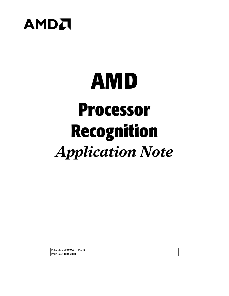

# **AMD Processor Recognition** *Application Note*

Publication # **20734** Rev: **R** Issue Date: **June 2000**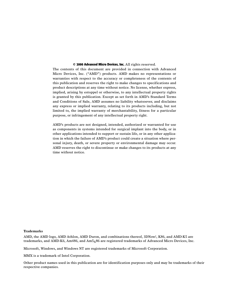#### **© 2000 Advanced Micro Devices, Inc.** All rights reserved.

The contents of this document are provided in connection with Advanced Micro Devices, Inc. ("AMD") products. AMD makes no representations or warranties with respect to the accuracy or completeness of the contents of this publication and reserves the right to make changes to specifications and product descriptions at any time without notice. No license, whether express, implied, arising by estoppel or otherwise, to any intellectual property rights is granted by this publication. Except as set forth in AMD's Standard Terms and Conditions of Sale, AMD assumes no liability whatsoever, and disclaims any express or implied warranty, relating to its products including, but not limited to, the implied warranty of merchantability, fitness for a particular purpose, or infringement of any intellectual property right.

AMD's products are not designed, intended, authorized or warranted for use as components in systems intended for surgical implant into the body, or in other applications intended to support or sustain life, or in any other application in which the failure of AMD's product could create a situation where personal injury, death, or severe property or environmental damage may occur. AMD reserves the right to discontinue or make changes to its products at any time without notice.

#### **Trademarks**

AMD, the AMD logo, AMD Athlon, AMD Duron, and combinations thereof, 3DNow!, K86, and AMD-K5 are trademarks, and AMD-K6, Am486, and  $Am5<sub>x</sub>86$  are registered trademarks of Advanced Micro Devices, Inc.

Microsoft, Windows, and Windows NT are registered trademarks of Microsoft Corporation.

MMX is a trademark of Intel Corporation.

Other product names used in this publication are for identification purposes only and may be trademarks of their respective companies.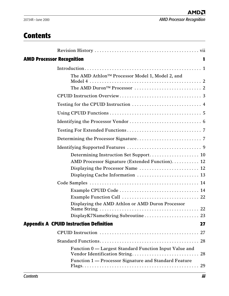### **Contents**

| <b>AMD Processor Recognition</b><br>п                       |
|-------------------------------------------------------------|
|                                                             |
| The AMD Athlon <sup>™</sup> Processor Model 1, Model 2, and |
|                                                             |
|                                                             |
|                                                             |
|                                                             |
|                                                             |
|                                                             |
|                                                             |
| AMD Processor Signature (Extended Function). 12             |
|                                                             |
| Displaying the AMD Athlon or AMD Duron Processor            |
| <b>Appendix A CPUID Instruction Definition</b><br>27        |
|                                                             |
| Function 0 — Largest Standard Function Input Value and      |
| Function 1 - Processor Signature and Standard Feature       |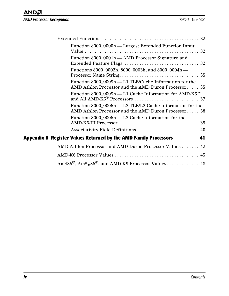*AMD Processor Recognition* 2000

| Function 8000_0000h — Largest Extended Function Input                                                            |
|------------------------------------------------------------------------------------------------------------------|
| Function 8000_0001h — AMD Processor Signature and                                                                |
| Functions 8000_0002h, 8000_0003h, and 8000_0004h -                                                               |
| Function 8000 0005h - L1 TLB/Cache Information for the<br>AMD Athlon Processor and the AMD Duron Processor 35    |
| Function 8000_0005h — L1 Cache Information for AMD-K5™                                                           |
| Function 8000_0006h — L2 TLB/L2 Cache Information for the<br>AMD Athlon Processor and the AMD Duron Processor 38 |
| Function $8000\ _{0}006h - L2$ Cache Information for the                                                         |
| Associativity Field Definitions  40                                                                              |
| Appendix B Register Values Returned by the AMD Family Processors<br>41                                           |
| AMD Athlon Processor and AMD Duron Processor Values 42                                                           |
|                                                                                                                  |
| Am486 <sup>®</sup> , Am5 <sub>x</sub> 86 <sup>®</sup> , and AMD-K5 Processor Values 48                           |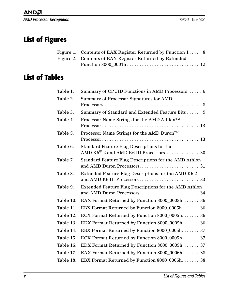### **List of Figures**

| Figure 1. Contents of EAX Register Returned by Function $1 \ldots$ . |  |
|----------------------------------------------------------------------|--|
| Figure 2. Contents of EAX Register Returned by Extended              |  |
|                                                                      |  |

### **List of Tables**

| Table 1.  | Summary of CPUID Functions in AMD Processors  6                                                           |
|-----------|-----------------------------------------------------------------------------------------------------------|
| Table 2.  | <b>Summary of Processor Signatures for AMD</b>                                                            |
|           |                                                                                                           |
| Table 3.  | Summary of Standard and Extended Feature Bits 9                                                           |
| Table 4.  | Processor Name Strings for the AMD Athlon™                                                                |
|           | $Processor \ldots \ldots \ldots \ldots \ldots \ldots \ldots \ldots \ldots \ldots \ldots \ldots \ldots 13$ |
| Table 5.  | Processor Name Strings for the AMD Duron™                                                                 |
|           |                                                                                                           |
| Table 6.  | <b>Standard Feature Flag Descriptions for the</b>                                                         |
|           | AMD-K6 <sup>®</sup> -2 and AMD-K6-III Processors  30                                                      |
| Table 7.  | Standard Feature Flag Descriptions for the AMD Athlon                                                     |
|           |                                                                                                           |
| Table 8.  | Extended Feature Flag Descriptions for the AMD-K6-2                                                       |
|           |                                                                                                           |
| Table 9.  | <b>Extended Feature Flag Descriptions for the AMD Athlon</b>                                              |
|           |                                                                                                           |
| Table 10. | EAX Format Returned by Function 8000_0005h  36                                                            |
| Table 11. | EBX Format Returned by Function 8000_0005h 36                                                             |
| Table 12. | ECX Format Returned by Function 8000_0005h 36                                                             |
| Table 13. | EDX Format Returned by Function 8000_0005h  36                                                            |
| Table 14. | EBX Format Returned by Function 8000_0005h 37                                                             |
| Table 15. | ECX Format Returned by Function 8000_0005h 37                                                             |
| Table 16. | EDX Format Returned by Function 8000_0005h  37                                                            |
| Table 17. | EAX Format Returned by Function 8000_0006h  38                                                            |
| Table 18. | EBX Format Returned by Function 8000_0006h 38                                                             |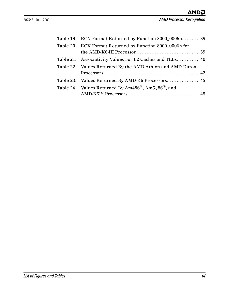| Table 19. ECX Format Returned by Function 8000_0006h 39                                                                                                                 |
|-------------------------------------------------------------------------------------------------------------------------------------------------------------------------|
| Table 20. ECX Format Returned by Function 8000_0006h for                                                                                                                |
| Table 21. Associativity Values For L2 Caches and TLBs 40                                                                                                                |
| Table 22. Values Returned By the AMD Athlon and AMD Duron<br>$Processors \ldots \ldots \ldots \ldots \ldots \ldots \ldots \ldots \ldots \ldots \ldots \ldots \ldots 42$ |
| Table 23. Values Returned By AMD-K6 Processors 45                                                                                                                       |
| Table 24. Values Returned By $Am486^{\circledR}$ , $Am5_x86^{\circledR}$ , and                                                                                          |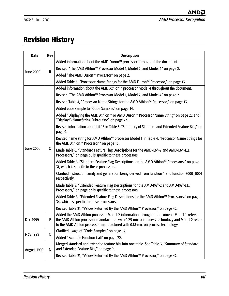### <span id="page-6-0"></span>**Revision History**

| <b>Date</b><br>Rev |             | <b>Description</b>                                                                                                                                                                                                                                                         |  |  |  |
|--------------------|-------------|----------------------------------------------------------------------------------------------------------------------------------------------------------------------------------------------------------------------------------------------------------------------------|--|--|--|
|                    |             | Added information about the AMD Duron™ processor throughout the document.                                                                                                                                                                                                  |  |  |  |
|                    | R           | Revised "The AMD Athlon™ Processor Model 1, Model 2, and Model 4" on page 2.                                                                                                                                                                                               |  |  |  |
| <b>June 2000</b>   |             | Added "The AMD Duron™ Processor" on page 2.                                                                                                                                                                                                                                |  |  |  |
|                    |             | Added Table 5, "Processor Name Strings for the AMD Duron™ Processor," on page 13.                                                                                                                                                                                          |  |  |  |
|                    |             | Added information about the AMD Athlon™ processor Model 4 throughout the document.                                                                                                                                                                                         |  |  |  |
|                    |             | Revised "The AMD Athlon™ Processor Model 1, Model 2, and Model 4" on page 2.                                                                                                                                                                                               |  |  |  |
|                    |             | Revised Table 4, "Processor Name Strings for the AMD Athlon™ Processor," on page 13.                                                                                                                                                                                       |  |  |  |
|                    |             | Added code sample to "Code Samples" on page 14.                                                                                                                                                                                                                            |  |  |  |
|                    |             | Added "Displaying the AMD Athlon™ or AMD Duron™ Processor Name String" on page 22 and<br>"DisplayK7NameString Subroutine" on page 23.                                                                                                                                      |  |  |  |
|                    |             | Revised information about bit 15 in Table 3, "Summary of Standard and Extended Feature Bits," on<br>page 9.                                                                                                                                                                |  |  |  |
|                    |             | Revised name string for AMD Athlon™ processor Model 1 in Table 4, "Processor Name Strings for<br>the AMD Athlon™ Processor," on page 13.                                                                                                                                   |  |  |  |
| <b>June 2000</b>   | Q           | Made Table 6, "Standard Feature Flag Descriptions for the AMD-K6 <sup>®</sup> -2 and AMD-K6 <sup>®</sup> -III<br>Processors," on page 30 is specific to these processors.                                                                                                  |  |  |  |
|                    |             | Added Table 6, "Standard Feature Flag Descriptions for the AMD Athlon™ Processors," on page<br>31, which is specific to these processors.                                                                                                                                  |  |  |  |
|                    |             | Clarified instruction family and generation being derived from function 1 and function 8000_0001<br>respectively.                                                                                                                                                          |  |  |  |
|                    |             | Made Table 8, "Extended Feature Flag Descriptions for the AMD-K6 <sup>®</sup> -2 and AMD-K6 <sup>®</sup> -III<br>Processors," on page 33 is specific to these processors.                                                                                                  |  |  |  |
|                    |             | Added Table 8, "Extended Feature Flag Descriptions for the AMD Athlon™ Processors," on page<br>34, which is specific to these processors.                                                                                                                                  |  |  |  |
|                    |             | Revised Table 21, "Values Returned By the AMD Athlon™ Processor," on page 42.                                                                                                                                                                                              |  |  |  |
| P<br>Dec 1999      |             | Added the AMD Athlon processor Model 2 information throughout document. Model 1 refers to<br>the AMD Athlon processor manufactured with 0.25-micron process technology and Model 2 refers<br>to the AMD Athlon processor manufactured with 0.18-micron process technology. |  |  |  |
|                    | $\mathbf 0$ | Clarified usage of "Code Samples" on page 14.                                                                                                                                                                                                                              |  |  |  |
| Nov 1999           |             | Added "Example Function Call" on page 22.                                                                                                                                                                                                                                  |  |  |  |
| August 1999        | N           | Merged standard and extended feature bits into one table. See Table 3, "Summary of Standard<br>and Extended Feature Bits," on page 9.                                                                                                                                      |  |  |  |
|                    |             | Revised Table 21, "Values Returned By the AMD Athlon™ Processor," on page 42.                                                                                                                                                                                              |  |  |  |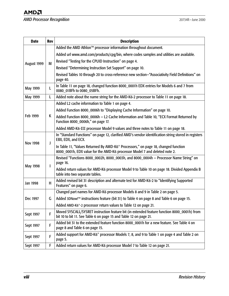#### **AMDA**

#### *AMD Processor Recognition* 2000

| <b>Date</b>     | <b>Rev</b> | <b>Description</b>                                                                                                                                                           |  |  |  |
|-----------------|------------|------------------------------------------------------------------------------------------------------------------------------------------------------------------------------|--|--|--|
|                 |            | Added the AMD Athlon™ processor information throughout document.                                                                                                             |  |  |  |
|                 |            | Added url www.amd.com/products/cpg/bin, where codes samples and utilities are available.                                                                                     |  |  |  |
| August 1999     | M          | Revised "Testing for the CPUID Instruction" on page 4.                                                                                                                       |  |  |  |
|                 |            | Revised "Determining Instruction Set Support" on page 10.                                                                                                                    |  |  |  |
|                 |            | Revised Tables 10 through 20 to cross-reference new section-"Associativity Field Definitions" on<br>page 40.                                                                 |  |  |  |
| May 1999        | L          | In Table 11 on page 18, changed function 8000 0001h EDX entries for Models 6 and 7 from<br>0080_01BFh to 0080_05BFh.                                                         |  |  |  |
| May 1999        | Г          | Added note about the name string for the AMD-K6-2 processor to Table 11 on page 18.                                                                                          |  |  |  |
|                 |            | Added L2 cache information to Table 1 on page 4.                                                                                                                             |  |  |  |
|                 |            | Added Function 8000_0006h to "Displaying Cache Information" on page 10.                                                                                                      |  |  |  |
| Feb 1999        | K          | Added Function 8000_0006h - L2 Cache Information and Table 10, "ECX Format Returned by<br>Function 8000_0006h," on page 17.                                                  |  |  |  |
|                 |            | Added AMD-K6-III processor Model 9 values and three notes to Table 11 on page 18.                                                                                            |  |  |  |
| <b>Nov 1998</b> | J          | In "Standard Functions" on page 12, clarified AMD's vendor identification string stored in registers<br>EBX, EDX, and ECX.                                                   |  |  |  |
|                 |            | In Table 11, "Values Returned By AMD-K6 <sup>®</sup> Processors," on page 18, changed function<br>8000_0001h, EDX value for the AMD-K6 processor Model 7 and deleted note 2. |  |  |  |
|                 | ı          | Revised "Functions 8000_0002h, 8000_0003h, and 8000_0004h - Processor Name String" on<br>page 16.                                                                            |  |  |  |
| May 1998        |            | Added return values for AMD-K6 processor Model 9 to Table 10 on page 18. Divided Appendix B<br>table into two separate tables.                                               |  |  |  |
| Jan 1998        | H          | Added revised bit 31 description and alternate test for AMD-K6-2 to "Identifying Supported<br>Features" on page 6.                                                           |  |  |  |
|                 |            | Changed part names for AMD-K6 processor Models 8 and 9 in Table 2 on page 5.                                                                                                 |  |  |  |
| Dec 1997        | G          | Added 3DNow!™ instructions feature (bit 31) to Table 4 on page 8 and Table 6 on page 15.                                                                                     |  |  |  |
|                 |            | Added AMD-K6 <sup>®</sup> -2 processor return values to Table 12 on page 21.                                                                                                 |  |  |  |
| Sept 1997       | F          | Moved SYSCALL/SYSRET instruction feature bit (in extended feature function 8000 0001h) from<br>bit 10 to bit 11. See Table 6 on page 15 and Table 12 on page 21.             |  |  |  |
| Sept 1997       | F          | Added bit 31 to the extended feature function 8000 0001h for a new feature. See Table 4 on<br>page 8 and Table 6 on page 15.                                                 |  |  |  |
| Sept 1997       | F          | Added support for AMD-K6 <sup>®</sup> processor Models 7, 8, and 9 to Table 1 on page 4 and Table 2 on<br>page 5.                                                            |  |  |  |
| Sept 1997       | F          | Added return values for AMD-K6 processor Model 7 to Table 12 on page 21.                                                                                                     |  |  |  |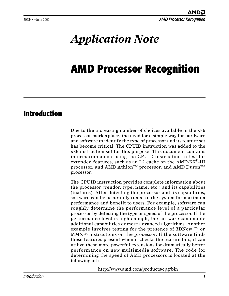# *Application Note*

# <span id="page-8-0"></span>**AMD Processor Recognition**

### <span id="page-8-1"></span>**Introduction**

Due to the increasing number of choices available in the x86 processor marketplace, the need for a simple way for hardware and software to identify the type of processor and its feature set has become critical. The CPUID instruction was added to the x86 instruction set for this purpose. This document contains information about using the CPUID instruction to test for extended features, such as an L2 cache on the  $\text{AMD-K6}^{\circledR}\text{-III}$ processor, and AMD Athlon™ processor, and AMD Duron™ processor.

The CPUID instruction provides complete information about the processor (vendor, type, name, etc.) and its capabilities (features). After detecting the processor and its capabilities, software can be accurately tuned to the system for maximum performance and benefit to users. For example, software can roughly determine the performance level of a particular processor by detecting the type or speed of the processor. If the performance level is high enough, the software can enable additional capabilities or more advanced algorithms. Another example involves testing for the presence of 3DNow!™ or MMX™ instructions on the processor. If the software finds these features present when it checks the feature bits, it can utilize these more powerful extensions for dramatically better performance on new multimedia software. The code for determining the speed of AMD processors is located at the following url:

http://www.amd.com/products/cpg/bin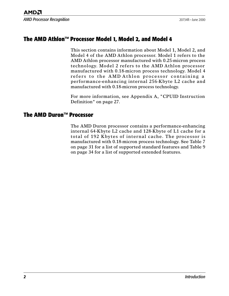#### <span id="page-9-2"></span><span id="page-9-0"></span>**The AMD Athlon™ Processor Model 1, Model 2, and Model 4**

This section contains information about Model 1, Model 2, and Model 4 of the AMD Athlon processor. Model 1 refers to the AMD Athlon processor manufactured with 0.25-micron process technology. Model 2 refers to the AMD Athlon processor manufactured with 0.18-micron process technology. Model 4 refers to the AMD Athlon processor containing a performance-enhancing internal 256-Kbyte L2 cache and manufactured with 0.18-micron process technology.

For more information, see [Appendix A](#page-34-2), ["CPUID Instruction](#page-34-3) [Definition" on page 27.](#page-34-3)

#### <span id="page-9-3"></span><span id="page-9-1"></span>**The AMD Duron™ Processor**

The AMD Duron processor contains a performance-enhancing internal 64-Kbyte L2 cache and 128-Kbyte of L1 cache for a total of 192 Kbytes of internal cache. The processor is manufactured with 0.18-micron process technology. See [Table 7](#page-38-1) [on page 31](#page-38-1) for a list of supported standard features and [Table 9](#page-41-1) [on page 34](#page-41-1) for a list of supported extended features.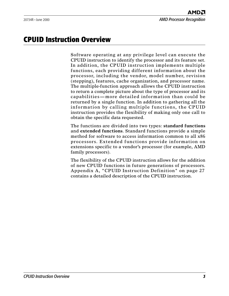### <span id="page-10-0"></span>**CPUID Instruction Overview**

Software operating at any privilege level can execute the CPUID instruction to identify the processor and its feature set. In addition, the CPUID instruction implements multiple functions, each providing different information about the processor, including the vendor, model number, revision (stepping), features, cache organization, and processor name. The multiple-function approach allows the CPUID instruction to return a complete picture about the type of processor and its capabilities—more detailed information than could be returned by a single function. In addition to gathering all the information by calling multiple functions, the CPUID instruction provides the flexibility of making only one call to obtain the specific data requested.

The functions are divided into two types: **standard functions** and **extended functions**. Standard functions provide a simple method for software to access information common to all x86 processors. Extended functions provide information on extensions specific to a vendor's processor (for example, AMD family processors).

The flexibility of the CPUID instruction allows for the addition of new CPUID functions in future generations of processors. [Appendix A](#page-34-2), ["CPUID Instruction Definition" on page 27](#page-34-3) contains a detailed description of the CPUID instruction.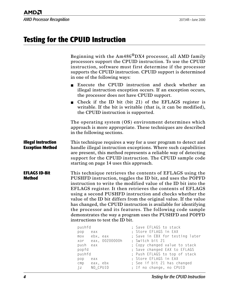### <span id="page-11-1"></span><span id="page-11-0"></span>**Testing for the CPUID Instruction**

|                                                       | Beginning with the Am486 <sup>®</sup> DX4 processor, all AMD family<br>processors support the CPUID instruction. To use the CPUID<br>instruction, software must first determine if the processor<br>supports the CPUID instruction. CPUID support is determined<br>in one of the following ways: |                                                                                                                                                                                                                                                                                                                                                                                                                                                                                                                                                                                     |  |  |
|-------------------------------------------------------|--------------------------------------------------------------------------------------------------------------------------------------------------------------------------------------------------------------------------------------------------------------------------------------------------|-------------------------------------------------------------------------------------------------------------------------------------------------------------------------------------------------------------------------------------------------------------------------------------------------------------------------------------------------------------------------------------------------------------------------------------------------------------------------------------------------------------------------------------------------------------------------------------|--|--|
|                                                       | the processor does not have CPUID support.                                                                                                                                                                                                                                                       | Execute the CPUID instruction and check whether an<br>illegal instruction exception occurs. If an exception occurs,                                                                                                                                                                                                                                                                                                                                                                                                                                                                 |  |  |
|                                                       | the CPUID instruction is supported.                                                                                                                                                                                                                                                              | Check if the ID bit (bit 21) of the EFLAGS register is<br>writable. If the bit is writable (that is, it can be modified),                                                                                                                                                                                                                                                                                                                                                                                                                                                           |  |  |
|                                                       | in the following sections.                                                                                                                                                                                                                                                                       | The operating system (OS) environment determines which<br>approach is more appropriate. These techniques are described                                                                                                                                                                                                                                                                                                                                                                                                                                                              |  |  |
| <b>Illegal Instruction</b><br><b>Exception Method</b> | starting on page 14 uses this approach.                                                                                                                                                                                                                                                          | This technique requires a way for a user program to detect and<br>handle illegal instruction exceptions. Where such capabilities<br>are present, this method represents a reliable way of detecting<br>support for the CPUID instruction. The CPUID sample code                                                                                                                                                                                                                                                                                                                     |  |  |
| <b>EFLAGS ID-Bit</b><br>Method                        | instructions to test the ID bit.                                                                                                                                                                                                                                                                 | This technique retrieves the contents of EFLAGS using the<br>PUSHFD instruction, toggles the ID bit, and uses the POPFD<br>instruction to write the modified value of the ID bit into the<br>EFLAGS register. It then retrieves the contents of EFLAGS<br>using a second PUSHFD instruction and checks whether the<br>value of the ID bit differs from the original value. If the value<br>has changed, the CPUID instruction is available for identifying<br>the processor and its features. The following code sample<br>demonstrates the way a program uses the PUSHFD and POPFD |  |  |
|                                                       | pushfd<br>pop<br>eax<br>$m \circ v$<br>ebx, eax<br>eax, 00200000h<br>xor<br>push<br>eax<br>popfd<br>pushfd<br>pop<br>eax<br>eax, ebx<br>cmp<br>NO_CPUID<br>jz                                                                                                                                    | ; Save EFLAGS to stack<br>; Store EFLAGS in EAX<br>Save in EBX for testing later<br>Switch bit 21<br>Copy changed value to stack<br>Save changed EAX to EFLAGS<br>Push EFLAGS to top of stack<br>Store EFLAGS in EAX<br>See if bit 21 has changed<br>If no change, no CPUID                                                                                                                                                                                                                                                                                                         |  |  |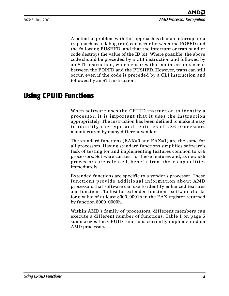A potential problem with this approach is that an interrupt or a trap (such as a debug trap) can occur between the POPFD and the following PUSHFD, and that the interrupt or trap handler code destroys the value of the ID bit. Where possible, the above code should be preceded by a CLI instruction and followed by an STI instruction, which ensures that no interrupts occur between the POPFD and the PUSHFD. However, traps can still occur, even if the code is preceded by a CLI instruction and followed by an STI instruction.

### <span id="page-12-0"></span>**Using CPUID Functions**

When software uses the CPUID instruction to identify a processor, it is important that it uses the instruction appropriately. The instruction has been defined to make it easy to identify the type and features of x86 processors manufactured by many different vendors.

The standard functions (EAX=0 and EAX=1) are the same for all processors. Having standard functions simplifies software's task of testing for and implementing features common to x86 processors. Software can test for these features and, as new x86 processors are released, benefit from these capabilities immediately.

Extended functions are specific to a vendor's processor. These functions provide additional information about AMD processors that software can use to identify enhanced features and functions. To test for extended functions, software checks for a value of at least 8000\_0001h in the EAX register returned by function 8000\_0000h.

Within AMD's family of processors, different members can execute a different number of functions. [Table 1 on page 6](#page-13-1) summarizes the CPUID functions currently implemented on AMD processors.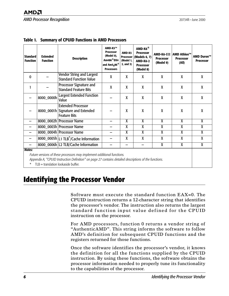| <b>Standard</b><br><b>Function</b>                                                                                                                                                                                                                        | <b>Extended</b><br><b>Function</b> | <b>Description</b>                                                                    | AMD-K5™<br><b>Processor</b><br>(Model 0),<br>$Am486^{\circ}$ DX4<br>and Am5 $x$ 86 <sup>®</sup><br><b>Processors</b> | AMD-K5<br>Processor<br>(Model 1,<br>2, and 3) | AMD-K6 <sup>®</sup><br><b>Processor</b><br>(Models 6, 7)<br><b>AMD-K6-2</b><br><b>Processor</b><br>(Model 8) | <b>Processor</b><br>(Model 9) | AMD-K6-III   AMD Athlon™<br><b>Processor</b><br>(All) | AMD Duron™<br><b>Processor</b> |
|-----------------------------------------------------------------------------------------------------------------------------------------------------------------------------------------------------------------------------------------------------------|------------------------------------|---------------------------------------------------------------------------------------|----------------------------------------------------------------------------------------------------------------------|-----------------------------------------------|--------------------------------------------------------------------------------------------------------------|-------------------------------|-------------------------------------------------------|--------------------------------|
| $\Omega$                                                                                                                                                                                                                                                  |                                    | <b>Vendor String and Largest</b><br><b>Standard Function Value</b>                    | X                                                                                                                    | X                                             | X                                                                                                            | X                             | $\boldsymbol{X}$                                      | $\mathsf{X}$                   |
| 1                                                                                                                                                                                                                                                         |                                    | Processor Signature and<br><b>Standard Feature Bits</b>                               | X                                                                                                                    | X                                             | X                                                                                                            | X                             | X                                                     | X                              |
|                                                                                                                                                                                                                                                           | 8000_0000h                         | <b>Largest Extended Function</b><br>Value                                             |                                                                                                                      | X                                             | X                                                                                                            | X                             | X                                                     | X                              |
|                                                                                                                                                                                                                                                           |                                    | <b>Extended Processor</b><br>8000_0001h Signature and Extended<br><b>Feature Bits</b> |                                                                                                                      | X                                             | X                                                                                                            | X                             | X                                                     | X                              |
|                                                                                                                                                                                                                                                           |                                    | 8000_0002h   Processor Name                                                           | —                                                                                                                    | $\overline{\mathsf{X}}$                       | $\overline{\mathsf{X}}$                                                                                      | $\overline{X}$                | $\overline{\mathsf{X}}$                               | $\overline{\mathsf{X}}$        |
|                                                                                                                                                                                                                                                           |                                    | 8000_0003h Processor Name                                                             |                                                                                                                      | $\overline{\chi}$                             | $\overline{\mathsf{x}}$                                                                                      | $\overline{\mathsf{x}}$       | $\overline{\mathsf{x}}$                               | $\overline{\chi}$              |
|                                                                                                                                                                                                                                                           |                                    | 8000_0004h Processor Name                                                             |                                                                                                                      | $\overline{\mathsf{X}}$                       | $\overline{\mathsf{x}}$                                                                                      | $\overline{\mathsf{x}}$       | $\overline{\mathsf{x}}$                               | $\overline{\chi}$              |
|                                                                                                                                                                                                                                                           |                                    | 8000_0005h  L1 TLB <sup>*</sup> /Cache Information                                    |                                                                                                                      | X                                             | X                                                                                                            | X                             | $\boldsymbol{X}$                                      | $\mathsf{X}$                   |
|                                                                                                                                                                                                                                                           |                                    | 8000_0006h L2 TLB/Cache Information                                                   |                                                                                                                      |                                               |                                                                                                              | $\overline{\mathsf{x}}$       | $\overline{\chi}$                                     | $\overline{\chi}$              |
| <b>Notes:</b><br>Future versions of these processors may implement additional functions.<br>Appendix A, "CPUID Instruction Definition" on page 27 contains detailed descriptions of the functions.<br>$\star$ TID to detect the leader of the field $\mu$ |                                    |                                                                                       |                                                                                                                      |                                               |                                                                                                              |                               |                                                       |                                |

<span id="page-13-1"></span>

|  |  |  | Table 1. Summary of CPUID Functions in AMD Processors |  |  |
|--|--|--|-------------------------------------------------------|--|--|
|--|--|--|-------------------------------------------------------|--|--|

 $TLB =$  translation lookaside buffer.

### <span id="page-13-0"></span>**Identifying the Processor Vendor**

Software must execute the standard function EAX=0. The CPUID instruction returns a 12-character string that identifies the processor's vendor. The instruction also returns the largest standard function input value defined for the CPUID instruction on the processor.

For AMD processors, function 0 returns a vendor string of "AuthenticAMD". This string informs the software to follow AMD's definition for subsequent CPUID functions and the registers returned for those functions.

Once the software identifies the processor's vendor, it knows the definition for all the functions supplied by the CPUID instruction. By using these functions, the software obtains the processor information needed to properly tune its functionality to the capabilities of the processor.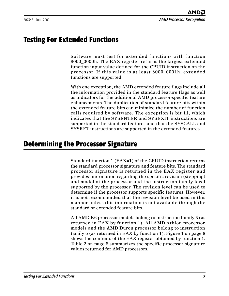### <span id="page-14-0"></span>**Testing For Extended Functions**

Software must test for extended functions with function 8000 0000h. The EAX register returns the largest extended function input value defined for the CPUID instruction on the processor. If this value is at least 8000\_0001h, extended functions are supported.

With one exception, the AMD extended feature flags include all the information provided in the standard feature flags as well as indicators for the additional AMD processor-specific feature enhancements. The duplication of standard feature bits within the extended feature bits can minimize the number of function calls required by software. The exception is bit 11, which indicates that the SYSENTER and SYSEXIT instructions are supported in the standard features and that the SYSCALL and SYSRET instructions are supported in the extended features.

### <span id="page-14-1"></span>**Determining the Processor Signature**

Standard function 1 (EAX=1) of the CPUID instruction returns the standard processor signature and feature bits. The standard processor signature is returned in the EAX register and provides information regarding the specific revision (stepping) and model of the processor and the instruction family level supported by the processor. The revision level can be used to determine if the processor supports specific features. However, it is not recommended that the revision level be used in this manner unless this information is not available through the standard or extended feature bits.

All AMD-K6 processor models belong to instruction family 5 (as returned in EAX by function 1). All AMD Athlon processor models and the AMD Duron processor belong to instruction family 6 (as returned in EAX by function 1). [Figure 1 on page 8](#page-15-1) shows the contents of the EAX register obtained by function 1. [Table 2 on page 8](#page-15-0) summarizes the specific processor signature values returned for AMD processors.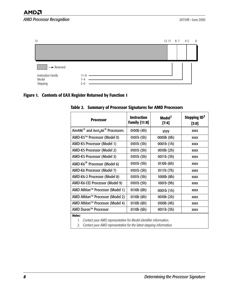**AMD** 

#### **AMD Processor Recognition** 2000 **20734R-June 2000**



#### <span id="page-15-1"></span>**Figure 1. Contents of EAX Register Returned by Function 1**

| <b>Processor</b>                                                   | <b>Instruction</b><br><b>Family [11:8]</b> | Model <sup>1</sup><br>$[7:4]$ | Stepping $ID2$<br>[3:0] |
|--------------------------------------------------------------------|--------------------------------------------|-------------------------------|-------------------------|
| Am486 <sup>®</sup> and Am5 <sub>x</sub> 86 <sup>®</sup> Processors | 0100b(4h)                                  | <b>YYYY</b>                   | <b>XXXX</b>             |
| AMD-K5™ Processor (Model 0)                                        | 0101b(5h)                                  | 0000b (0h)                    | <b>XXXX</b>             |
| AMD-K5 Processor (Model 1)                                         | 0101b(5h)                                  | 0001b(1h)                     | <b>XXXX</b>             |
| AMD-K5 Processor (Model 2)                                         | 0101b(5h)                                  | 0010b(2h)                     | <b>XXXX</b>             |
| AMD-K5 Processor (Model 3)                                         | 0101b(5h)                                  | 0011b (3h)                    | <b>XXXX</b>             |
| AMD-K6 <sup>®</sup> Processor (Model 6)                            | 0101b(5h)                                  | 0110b(6h)                     | <b>XXXX</b>             |
| AMD-K6 Processor (Model 7)                                         | 0101b(5h)                                  | 0111b(7h)                     | <b>XXXX</b>             |
| AMD-K6-2 Processor (Model 8)                                       | 0101b(5h)                                  | 1000b(8h)                     | <b>XXXX</b>             |
| AMD-K6-III Processor (Model 9)                                     | 0101b(5h)                                  | 1001b (9h)                    | <b>XXXX</b>             |
| AMD Athlon™ Processor (Model 1)                                    | 0110b(6h)                                  | 0001b(1h)                     | <b>XXXX</b>             |
| AMD Athlon™ Processor (Model 2)                                    | 0110b(6h)                                  | 0010b (2h)                    | <b>XXXX</b>             |
| AMD Athlon™ Processor (Model 4)                                    | 0110b (6h)                                 | 0100b(4h)                     | <b>XXXX</b>             |
| AMD Duron <sup>™</sup> Processor                                   | 0110b(6h)                                  | 0011b (3h)                    | <b>XXXX</b>             |
| <b>Notes:</b>                                                      |                                            |                               |                         |

#### <span id="page-15-0"></span>**Table 2. Summary of Processor Signatures for AMD Processors**

*1. Contact your AMD representative for Model identifier information.*

*2. Contact your AMD representative for the latest stepping information.*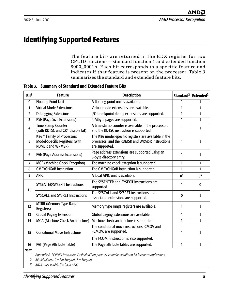### <span id="page-16-0"></span>**Identifying Supported Features**

The feature bits are returned in the EDX register for two CPUID functions—standard function 1 and extended function 8000 0001h. Each bit corresponds to a specific feature and indicates if that feature is present on the processor. [Table 3](#page-16-1) summarizes the standard and extended feature bits.

<span id="page-16-2"></span><span id="page-16-1"></span>**Table 3. Summary of Standard and Extended Feature Bits**

| Bit <sup>1</sup>  | <b>Feature</b>                                                                                                                                           | <b>Description</b>                                                                                                         |                | Standard <sup>2</sup> Extended <sup>2</sup> |
|-------------------|----------------------------------------------------------------------------------------------------------------------------------------------------------|----------------------------------------------------------------------------------------------------------------------------|----------------|---------------------------------------------|
| $\bf{0}$          | <b>Floating-Point Unit</b>                                                                                                                               | A floating-point unit is available.                                                                                        | 1              |                                             |
| 1                 | <b>Virtual Mode Extensions</b>                                                                                                                           | Virtual mode extensions are available.                                                                                     | 1              | 1                                           |
| $\overline{2}$    | <b>Debugging Extensions</b>                                                                                                                              | I/O breakpoint debug extensions are supported.                                                                             | 1              | 1                                           |
| 3                 | PSE (Page Size Extensions)                                                                                                                               | 4-Mbyte pages are supported.                                                                                               | $\mathbf{1}$   | 1                                           |
| 4                 | <b>Time Stamp Counter</b><br>(with RDTSC and CR4 disable bit)                                                                                            | A time stamp counter is available in the processor,<br>and the RDTSC instruction is supported.                             | 1              | ı                                           |
| 5                 | K86™ Family of Processors'<br>Model-Specific Registers (with<br><b>RDMSR and WRMSR)</b>                                                                  | The K86 model-specific registers are available in the<br>processor, and the RDMSR and WRMSR instructions<br>are supported. | 1              | 1                                           |
| 6                 | PAE (Page Address Extensions)                                                                                                                            | Page address extensions are supported using an<br>8-byte directory entry.                                                  | 1              | 1                                           |
| 7                 | <b>MCE</b> (Machine Check Exception)                                                                                                                     | The machine check exception is supported.                                                                                  | 1              | 1                                           |
| 8                 | <b>CMPXCHG8B Instruction</b>                                                                                                                             | The CMPXCHG8B instruction is supported.                                                                                    | 1              | 1                                           |
| 9                 | <b>APIC</b>                                                                                                                                              | A local APIC unit is available.                                                                                            | 0 <sup>3</sup> | 0 <sup>3</sup>                              |
| 11                | <b>SYSENTER/SYSEXIT Instructions</b>                                                                                                                     | The SYSENTER and SYSEXIT instructions are<br>supported.                                                                    | 1              | $\Omega$                                    |
|                   | The SYSCALL and SYSRET instructions and<br><b>SYSCALL and SYSRET Instructions</b><br>associated extensions are supported.                                |                                                                                                                            | $\mathbf{0}$   | 1                                           |
| $12 \overline{ }$ | <b>MTRR (Memory Type Range</b><br><b>Registers)</b>                                                                                                      | Memory type range registers are available.                                                                                 | 1              | 1                                           |
| 13                | <b>Global Paging Extension</b>                                                                                                                           | Global paging extensions are available.                                                                                    | 1              | 1                                           |
| 14                | <b>MCA</b> (Machine Check Architecture)                                                                                                                  | Machine check architecture is supported                                                                                    | 1              | 1                                           |
| 15                | The conditional move instructions, CMOV and<br>FCMOV, are supported.<br><b>Conditional Move Instructions</b><br>The FCOMI instruction is also supported. |                                                                                                                            | 1              |                                             |
| 16<br>Note:       | PAT (Page Attribute Table)                                                                                                                               | The Page attribute tables are supported.                                                                                   | 1              | 1                                           |

*1. [Appendix A](#page-34-2), ["CPUID Instruction Definition" on page 27](#page-34-3) contains details on bit locations and values.*

*2. Bit definitions: 0 = No Support, 1 = Support*

*3. BIOS must enable the local APIC.*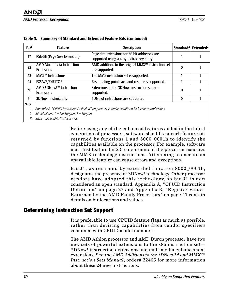| Bit <sup>1</sup> | <b>Feature</b>                                         | <b>Description</b>                                                                         |                  | Standard <sup>2</sup> Extended <sup>2</sup> |
|------------------|--------------------------------------------------------|--------------------------------------------------------------------------------------------|------------------|---------------------------------------------|
| 17               | PSE-36 (Page Size Extension)                           | Page size extensions for 36-bit addresses are<br>supported using a 4-byte directory entry. |                  |                                             |
| 22               | <b>AMD Multimedia Instruction</b><br><b>Extensions</b> | AMD additions to the original MMX™ instruction set<br>are supported.                       | $\boldsymbol{0}$ |                                             |
| 23               | <b>MMX<sup>™</sup> Instructions</b>                    | The MMX instruction set is supported.                                                      |                  |                                             |
| 24               | <b>FXSAVE/FXRSTOR</b>                                  | Fast floating-point save and restore is supported.                                         |                  |                                             |
| 30               | AMD 3DNow!™ Instruction<br><b>Extensions</b>           | Extensions to the 3DNow! instruction set are<br>supported.                                 | 0                |                                             |
| 31               | <b>3DNow! Instructions</b>                             | 3DNow! instructions are supported.                                                         | $\mathbf{0}$     |                                             |
| Note:            |                                                        |                                                                                            |                  |                                             |

**Table 3. Summary of Standard and Extended Feature Bits (continued)**

*1. Appendix A, "CPUID Instruction Definition" on page 27 contains details on bit locations and values.*

*2. Bit definitions: 0 = No Support, 1 = Support*

*3. BIOS must enable the local APIC.*

Before using any of the enhanced features added to the latest generation of processors, software should test each feature bit returned by functions 1 and 8000\_0001h to identify the capabilities available on the processor. For example, software must test feature bit 23 to determine if the processor executes the MMX technology instructions. Attempting to execute an unavailable feature can cause errors and exceptions.

Bit 31, as returned by extended function 8000\_0001h, designates the presence of 3DNow! technology. Other processor vendors have adopted this technology, so bit 31 is now considered an open standard. [Appendix A,](#page-34-2) ["CPUID Instruction](#page-34-3) [Definition" on page 27](#page-34-3) and [Appendix B,](#page-48-1) ["Register Values](#page-48-2) [Returned by the AMD Family Processors" on page 41](#page-48-2) contain details on bit locations and values.

#### <span id="page-17-1"></span><span id="page-17-0"></span>**Determining Instruction Set Support**

It is preferable to use CPUID feature flags as much as possible, rather than deriving capabilities from vendor specifiers combined with CPUID model numbers.

The AMD Athlon processor and AMD Duron processor have two new sets of powerful extensions to the x86 instruction set— 3DNow! instruction extensions and multimedia enhancement extensions. See the *AMD Additions to the 3DNow!™ and MMX™ Instruction Sets Manual*, order# 22466 for more information about these 24 new instructions.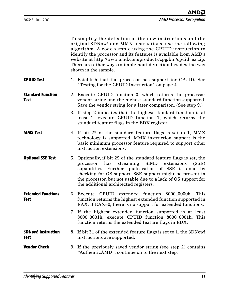<span id="page-18-0"></span>

|                                          | To simplify the detection of the new instructions and the<br>original 3DNow! and MMX instructions, use the following<br>algorithm. A code sample using the CPUID instruction to<br>identify the processor and its features is available from AMD's<br>website at http://www.amd.com/products/cpg/bin/cpuid_ex.zip.<br>There are other ways to implement detection besides the way<br>shown in the sample. |
|------------------------------------------|-----------------------------------------------------------------------------------------------------------------------------------------------------------------------------------------------------------------------------------------------------------------------------------------------------------------------------------------------------------------------------------------------------------|
| <b>CPUID Test</b>                        | 1. Establish that the processor has support for CPUID. See<br>"Testing for the CPUID Instruction" on page 4.                                                                                                                                                                                                                                                                                              |
| <b>Standard Function</b><br><b>Test</b>  | 2. Execute CPUID function 0, which returns the processor<br>vendor string and the highest standard function supported.<br>Save the vendor string for a later comparison. (See step 9.)                                                                                                                                                                                                                    |
|                                          | 3. If step 2 indicates that the highest standard function is at<br>least 1, execute CPUID function 1, which returns the<br>standard feature flags in the EDX register.                                                                                                                                                                                                                                    |
| <b>MMX Test</b>                          | 4. If bit 23 of the standard feature flags is set to 1, MMX<br>technology is supported. MMX instruction support is the<br>basic minimum processor feature required to support other<br>instruction extensions.                                                                                                                                                                                            |
| <b>Optional SSE Test</b>                 | 5. Optionally, if bit 25 of the standard feature flags is set, the<br>streaming SIMD extensions<br>processor has<br>(SSE)<br>capabilities. Further qualification of SSE is done by<br>checking for OS support. SSE support might be present in<br>the processor, but not usable due to a lack of OS support for<br>the additional architected registers.                                                  |
| <b>Extended Functions</b><br><b>Test</b> | 6. Execute CPUID extended function 8000 0000h. This<br>function returns the highest extended function supported in<br>EAX. If EAX=0, there is no support for extended functions.                                                                                                                                                                                                                          |
|                                          | 7. If the highest extended function supported is at least<br>8000_0001h, execute CPUID function 8000_0001h. This<br>function returns the extended feature flags in EDX.                                                                                                                                                                                                                                   |
| <b>3DNow! Instruction</b><br><b>Test</b> | 8. If bit 31 of the extended feature flags is set to 1, the 3DNow!<br>instructions are supported.                                                                                                                                                                                                                                                                                                         |
| <b>Vendor Check</b>                      | 9. If the previously saved vendor string (see step 2) contains<br>"AuthenticAMD", continue on to the next step.                                                                                                                                                                                                                                                                                           |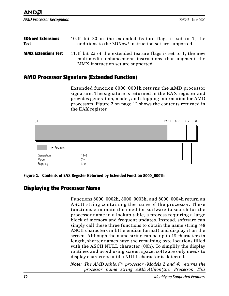*AMD Processor Recognition* 2000

| <b>3DNow! Extensions</b>   | 10. If bit 30 of the extended feature flags is set to 1, the                                                                                                   |
|----------------------------|----------------------------------------------------------------------------------------------------------------------------------------------------------------|
| <b>Test</b>                | additions to the 3DNow! instruction set are supported.                                                                                                         |
| <b>MMX Extensions Test</b> | 11. If bit 22 of the extended feature flags is set to 1, the new<br>multimedia enhancement instructions that augment the<br>MMX instruction set are supported. |

#### <span id="page-19-0"></span>**AMD Processor Signature (Extended Function)**

Extended function 8000\_0001h returns the AMD processor signature. The signature is returned in the EAX register and provides generation, model, and stepping information for AMD processors. [Figure 2 on page 12](#page-19-2) shows the contents returned in the EAX register.

| 31                     |          | 1211 | 87 | 43<br>$\overline{0}$ |
|------------------------|----------|------|----|----------------------|
|                        |          |      |    |                      |
| $\rightarrow$ Reserved |          |      |    |                      |
| Generation             | $11 - 8$ |      |    |                      |
| Model<br>Stepping      | $7 - 4$  |      |    |                      |
|                        | $3 - 0$  |      |    |                      |

<span id="page-19-2"></span>**Figure 2. Contents of EAX Register Returned by Extended Function 8000\_0001h**

#### <span id="page-19-1"></span>**Displaying the Processor Name**

Functions 8000\_0002h, 8000\_0003h, and 8000\_0004h return an ASCII string containing the name of the processor. These functions eliminate the need for software to search for the processor name in a lookup table, a process requiring a large block of memory and frequent updates. Instead, software can simply call these three functions to obtain the name string (48 ASCII characters in little endian format) and display it on the screen. Although the name string can be up to 48 characters in length, shorter names have the remaining byte locations filled with the ASCII NULL character (00h). To simplify the display routines and avoid using screen space, software only needs to display characters until a NULL character is detected.

*Note: The AMD Athlon™ processor (Models 2 and 4) returns the processor name string AMD Athlon(tm) Processor. This*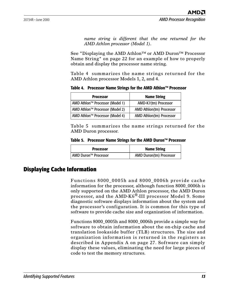*name string is different that the one returned for the AMD Athlon processor (Model 1).* 

See ["Displaying the AMD Athlon™ or AMD Duron™ Processor](#page-29-1) [Name String" on page 22](#page-29-1) for an example of how to properly obtain and display the processor name string.

[Table 4](#page-20-1) summarizes the name strings returned for the AMD Athlon processor Models 1, 2, and 4.

<span id="page-20-3"></span><span id="page-20-1"></span>**Table 4. Processor Name Strings for the AMD Athlon™ Processor**

| <b>Processor</b>                | <b>Name String</b>       |
|---------------------------------|--------------------------|
| AMD Athlon™ Processor (Model 1) | AMD-K7(tm) Processor     |
| AMD Athlon™ Processor (Model 2) | AMD Athlon(tm) Processor |
| AMD Athlon™ Processor (Model 4) | AMD Athlon(tm) Processor |

[Table 5](#page-20-2) summarizes the name strings returned for the AMD Duron processor.

<span id="page-20-4"></span><span id="page-20-2"></span>

|  | Table 5. Processor Name Strings for the AMD Duron™ Processor |  |  |  |  |  |  |
|--|--------------------------------------------------------------|--|--|--|--|--|--|
|--|--------------------------------------------------------------|--|--|--|--|--|--|

| <b>Processor</b>       | <b>Name String</b>      |
|------------------------|-------------------------|
| I AMD Duron™ Processor | AMD Duron(tm) Processor |

### <span id="page-20-0"></span>**Displaying Cache Information**

Functions 8000\_0005h and 8000\_0006h provide cache information for the processor, although function 8000\_0006h is only supported on the AMD Athlon processor, the AMD Duron processor, and the AMD-K6®-III processor Model 9. Some diagnostic software displays information about the system and the processor's configuration. It is common for this type of software to provide cache size and organization of information.

Functions 8000\_0005h and 8000\_0006h provide a simple way for software to obtain information about the on-chip cache and translation lookaside buffer (TLB) structures. The size and organization information is returned in the registers as described in [Appendix A on page 27](#page-34-2). Software can simply display these values, eliminating the need for large pieces of code to test the memory structures.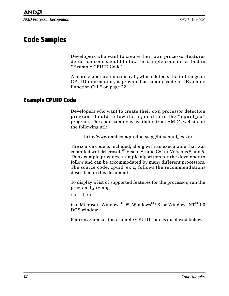*AMD Processor Recognition* 2000

### <span id="page-21-2"></span><span id="page-21-0"></span>**Code Samples**

Developers who want to create their own processor-features detection code should follow the sample code described in ["Example CPUID Code".](#page-21-1)

A more elaborate function call, which detects the full range of CPUID information, is provided as sample code in ["Example](#page-29-0) [Function Call" on page 22](#page-29-0).

#### <span id="page-21-1"></span>**Example CPUID Code**

Developers who want to create their own processor detection program should follow the algorithm in the "cpuid\_ex" program. The code sample is available from AMD's website at the following url:

http://www.amd.com/products/cpg/bin/cpuid\_ex.zip

The source code is included, along with an executable that was compiled with Microsoft<sup>®</sup> Visual Studio  $C/C++$  Versions 5 and 6. This example provides a simple algorithm for the developer to follow and can be accommodated by many different processors. The source code, cpuid ex.c, follows the recommendations described in this document.

To display a list of supported features for the processor, run the program by typing

cpuid\_ex

in a Microsoft Windows® 95, Windows® 98, or Windows  $\mathrm{NT}^{\circledR}$  4.0 DOS window.

For convenience, the example CPUID code is displayed below.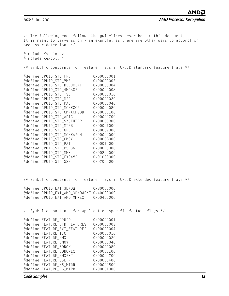20734R—June 2000 *AMD Processor Recognition*

/\* The following code follows the guidelines described in this document, It is meant to serve as only an example, as there are other ways to accomplish processor detection. \*/

#include <stdio.h> #include <excpt.h>

/\* Symbolic constants for feature flags in CPUID standard feature flags \*/

|         | #define CPUID STD FPU      | 0x00000001 |
|---------|----------------------------|------------|
|         | #define CPUID STD VME      | 0x00000002 |
|         | #define CPUID STD DEBUGEXT | 0x00000004 |
|         | #define CPUID STD 4MPAGE   | 0x00000008 |
|         | #define CPUID STD TSC      | 0x00000010 |
| #define | CPUID STD MSR              | 0x00000020 |
| #define | CPUID_STD_PAE              | 0x00000040 |
| #define | CPUID STD MCHKXCP          | 0x00000080 |
| #define | CPUID STD CMPXCHG8B        | 0x00000100 |
| #define | CPUID STD APIC             | 0x00000200 |
| #define | CPUID STD SYSENTER         | 0x00000800 |
| #define | CPUID STD MTRR             | 0x00001000 |
| #define | CPUID STD GPE              | 0x00002000 |
| #define | CPUID STD MCHKARCH         | 0x00004000 |
| #define | CPUID STD CMOV             | 0x00008000 |
| #define | CPUID STD PAT              | 0x00010000 |
|         | #define CPUID STD PSE36    | 0x00020000 |
|         | #define CPUID STD MMX      | 0x00800000 |
|         | #define CPUID STD FXSAVE   | 0x01000000 |
|         | #define CPUID STD SSE      | 0x02000000 |

/\* Symbolic constants for feature flags in CPUID extended feature flags \*/

| #define CPUID EXT 3DNOW                   | 0x80000000 |
|-------------------------------------------|------------|
| #define CPUID EXT AMD 3DNOWEXT 0x40000000 |            |
| #define CPUID EXT AMD MMXEXT              | 0x00400000 |

/\* Symbolic constants for application specific feature flags \*/

| #define FEATURE_CPUID        | 0x00000001 |
|------------------------------|------------|
| #define FEATURE_STD_FEATURES | 0x00000002 |
| #define FEATURE EXT FEATURES | 0x00000004 |
| #define FEATURE TSC          | 0x00000010 |
| #define FEATURE_MMX          | 0x00000020 |
| #define FEATURE CMOV         | 0x00000040 |
| #define FEATURE 3DNOW        | 0x00000080 |
| #define FEATURE 3DNOWEXT     | 0x00000100 |
| #define FEATURE MMXEXT       | 0x00000200 |
| #define FEATURE SSEFP        | 0x00000400 |
| #define FEATURE K6 MTRR      | 0x00000800 |
| #define FEATURE P6 MTRR      | 0x00001000 |

*Code Samples 15*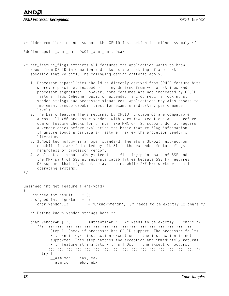#### *AMD Processor Recognition* 2000

/\* Older compilers do not support the CPUID instruction in inline assembly \*/

#define cpuid asm emit 0x0f asm emit 0xa2

- $\frac{1}{x}$  get feature flags extracts all features the application wants to know about from CPUID information and returns a bit string of application specific feature bits. The following design criteria apply:
	- 1. Processor capabilities should be directly derived from CPUID feature bits wherever possible, instead of being derived from vendor strings and processor signatures. However, some features are not indicated by CPUID feature flags (whether basic or extended) and do require looking at vendor strings and processor signatures. Applications may also choose to implement pseudo capabilities, for example indicating performance levels.
	- 2. The basic feature flags returned by CPUID function  $#1$  are compatible across all x86 processor vendors with very few exceptions and therefore common feature checks for things like MMX or TSC support do not require a vendor check before evaluating the basic feature flag information. If unsure about a particular feature, review the processor vendor's literature.
	- 3. 3DNow! technology is an open standard. Therefore 3DNow! instruction capabilities are indicated by bit 31 in the extended feature flags regardless of processor vendor.
	- 4. Applications should always treat the floating-point part of SSE and the MMX part of SSE as separate capabilities because SSE FP requires OS support that might not be available, while SSE MMX works with all operating systems.

```
*/
```

```
unsigned int get feature flags(void)
{
  unsigned int result = 0;
  unsigned int signature = 0;
     char vendor[13] = "UnknownVendr"; /* Needs to be exactly 12 chars */
   /* Define known vendor strings here */
  char vendorAMD[13] = "AuthenticAMD"; /* Needs to be exactly 12 chars */
     /*;;;;;;;;;;;;;;;;;;;;;;;;;;;;;;;;;;;;;;;;;;;;;;;;;;;;;;;;;;;;;;;;;;;;
          ;; Step 1: Check if processor has CPUID support. The processor faults
         ;; with an illegal instruction exception if the instruction is not
         ;; supported. This step catches the exception and immediately returns
          ;; with feature string bits with all 0s, if the exception occurs.
          ;;;;;;;;;;;;;;;;;;;;;;;;;;;;;;;;;;;;;;;;;;;;;;;;;;;;;;;;;;;;;;;;;;;;*/
      __try {
           __asm xor eax, eax
           __asm xor ebx, ebx
```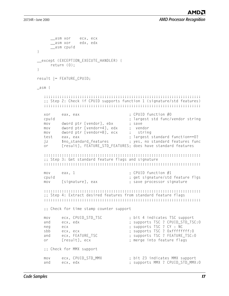}

```
__asm xor ecx, ecx
     __asm xor edx, edx
     __asm cpuid
__except (EXCEPTION_EXECUTE_HANDLER) {
     return (0);
}
result |= FEATURE_CPUID;
_asm {
    ;;;;;;;;;;;;;;;;;;;;;;;;;;;;;;;;;;;;;;;;;;;;;;;;;;;;;;;;;;;;;;;;;;;;;;
    ;; Step 2: Check if CPUID supports function 1 (signature/std features)
   ;;;;;;;;;;;;;;;;;;;;;;;;;;;;;;;;;;;;;;;;;;;;;;;;;;;;;;;;;;;;;;;;;;;;;;
  xor eax, eax \frac{1}{10} : CPUID function \#0 cpuid ; largest std func/vendor string
   mov dword ptr [vendor], ebx ; save 
   mov dword ptr [vendor+4], edx ; vendor
   mov dword ptr [vendor+8], ecx ; string
  test eax, eax \qquad \qquad ; \qquad \qquad \text{largest standard function} == 0?jz $no_standard_features ; yes, no standard features func
  or [result], FEATURE_STD_FEATURES; does have standard features
   ;;;;;;;;;;;;;;;;;;;;;;;;;;;;;;;;;;;;;;;;;;;;;;;;;;;;;;;;;;;;;;;;;;;;;;
    ;; Step 3: Get standard feature flags and signature
    ;;;;;;;;;;;;;;;;;;;;;;;;;;;;;;;;;;;;;;;;;;;;;;;;;;;;;;;;;;;;;;;;;;;;;;
  mov eax, 1 \cdot : CPUID function \#1 cpuid ; get signature/std feature flgs
  mov [signature], eax : save processor signature
   ;;;;;;;;;;;;;;;;;;;;;;;;;;;;;;;;;;;;;;;;;;;;;;;;;;;;;;;;;;;;;;;;;;;;;;
    ;; Step 4: Extract desired features from standard feature flags
   ;;;;;;;;;;;;;;;;;;;;;;;;;;;;;;;;;;;;;;;;;;;;;;;;;;;;;;;;;;;;;;;;;;;;;;
   ;; Check for time stamp counter support
  mov ecx, CPUID STD TSC : bit 4 indicates TSC support
  and ecx, edx \qquad \qquad ; supports TSC ? CPUID STD TSC:0
  neg ecx \cdot : supports TSC ? CY : NC
  sbb ecx, ecx ; supports TSC ? 0xffffffff:0
  and ecx, FEATURE_TSC ; supports TSC ? FEATURE TSC:0
  or [result], ecx : merge into feature flags
   ;; Check for MMX support
  mov ecx, CPUID STD MMX ; bit 23 indicates MMX support
  and ecx, edx \qquad \qquad ; \qquad \qquad ; \qquad \qquad supports MMX ? CPUID_STD_MMX:0
```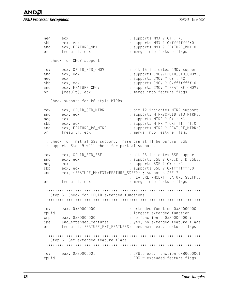## *AMD Processor Recognition* 2000

neg ecx  $\qquad \qquad ; \qquad \text{supports MMX ? CY : NC}$ sbb ecx, ecx ; supports MMX ? 0xffffffff:0 and ecx, FEATURE MMX ; supports MMX ? FEATURE MMX:0 or [result], ecx ; merge into feature flags ;; Check for CMOV support mov ecx, CPUID STD CMOV ; bit 15 indicates CMOV support and ecx, edx  $\qquad \qquad ; \qquad \qquad ; \qquad \qquad \text{supports} \text{CMOV:CD} \text{GND} \text{CMOV:O}$ neg ecx  $\qquad \qquad ; \qquad \text{supports CMOV ? CY : NC}$ sbb ecx, ecx ; supports CMOV ? 0xffffffff:0 and ecx, FEATURE CMOV : supports CMOV ? FEATURE CMOV:0 or [result], ecx ; merge into feature flags ;; Check support for P6-style MTRRs mov ecx, CPUID STD MTRR ; bit 12 indicates MTRR support and ecx, edx  $\qquad \qquad ;$  supports MTRR?CPUID STD MTRR:0 neg ecx  $\qquad \qquad ; \qquad \qquad$  supports MTRR ? CY : NC sbb ecx, ecx  $\qquad$  ; supports MTRR ? 0xffffffff:0 and ecx, FEATURE P6 MTRR ; supports MTRR ? FEATURE MTRR:0 or [result], ecx ; merge into feature flags ;; Check for initial SSE support. There can still be partial SSE ;; support. Step 9 will check for partial support. mov ecx, CPUID STD SSE : bit 25 indicates SSE support and ecx. edx  $\qquad \qquad ;$  supports SSE ? CPUID STD SSE:0 neg ecx : supports SSE ? CY : NC sbb ecx, ecx  $\cdot$  ; supports SSE ? 0xffffffff:0 and ecx, (FEATURE MMXEXT+FEATURE SSEFP) ; supports SSE ? ; FEATURE\_MMXEXT+FEATURE\_SSEFP:0 or [result], ecx ; merge into feature flags ;;;;;;;;;;;;;;;;;;;;;;;;;;;;;;;;;;;;;;;;;;;;;;;;;;;;;;;;;;;;;;;;;;;;;; ;; Step 5: Check for CPUID extended functions ;;;;;;;;;;;;;;;;;;;;;;;;;;;;;;;;;;;;;;;;;;;;;;;;;;;;;;;;;;;;;;;;;;;;;; mov eax, 0x80000000 ; extended function 0x80000000 cpuid ; largest extended function cmp eax, 0x80000000 ; no function > 0x80000000 ? jbe \$no\_extended\_features ; yes, no extended feature flags or [result], FEATURE\_EXT\_FEATURES; does have ext. feature flags ;;;;;;;;;;;;;;;;;;;;;;;;;;;;;;;;;;;;;;;;;;;;;;;;;;;;;;;;;;;;;;;;;;;;;; ;; Step 6: Get extended feature flags ;;;;;;;;;;;;;;;;;;;;;;;;;;;;;;;;;;;;;;;;;;;;;;;;;;;;;;;;;;;;;;;;;;;;;; mov eax, 0x80000001 ; CPUID ext. function 0x80000001 cpuid ; EDX = extended feature flags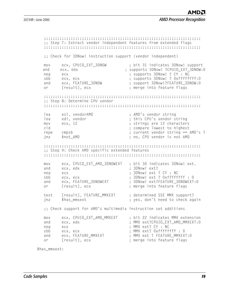```
 ;;;;;;;;;;;;;;;;;;;;;;;;;;;;;;;;;;;;;;;;;;;;;;;;;;;;;;;;;;;;;;;;;;;;;;
 ;; Step 7: Extract vendor independent features from extended flags 
 ;;;;;;;;;;;;;;;;;;;;;;;;;;;;;;;;;;;;;;;;;;;;;;;;;;;;;;;;;;;;;;;;;;;;;;
 ;; Check for 3DNow! instruction support (vendor independent)
mov ecx, CPUID EXT 3DNOW ; bit 31 indicates 3DNow! support
and ecx, edx ; supports 3DNow! ?CPUID_EXT_3DNOW:0
neg ecx \qquad \qquad ; \qquad \text{supports} \qquad 3\text{D} \qquad \qquad \text{CV} \text{ : } \text{NC}sbb ecx, ecx ; supports 3DNow! ? 0xffffffff:0
and ecx, FEATURE_3DNOW ; support 3DNow!?FEATURE_3DNOW:0
or [result], ecx ; merge into feature flags
 ;;;;;;;;;;;;;;;;;;;;;;;;;;;;;;;;;;;;;;;;;;;;;;;;;;;;;;;;;;;;;;;;;;;;;;
 ;; Step 8: Determine CPU vendor
 ;;;;;;;;;;;;;;;;;;;;;;;;;;;;;;;;;;;;;;;;;;;;;;;;;;;;;;;;;;;;;;;;;;;;;;
lea esi, vendorAMD ; AMD's vendor string
lea edi, vendor ; this CPU's vendor string
 mov ecx, 12 ; strings are 12 characters
cld \qquad \qquad ; \qquad \qquad \text{compare lowest to highest} repe cmpsb ; current vendor string == AMD's ?
 jnz $not_AMD ; no, CPU vendor is not AMD
 ;;;;;;;;;;;;;;;;;;;;;;;;;;;;;;;;;;;;;;;;;;;;;;;;;;;;;;;;;;;;;;;;;;;;;;
 ;; Step 9: Check AMD specific extended features
 ;;;;;;;;;;;;;;;;;;;;;;;;;;;;;;;;;;;;;;;;;;;;;;;;;;;;;;;;;;;;;;;;;;;;;;
mov ecx, CPUID EXT AMD 3DNOWEXT ; bit 30 indicates 3DNow! ext.
and ecx, edx ; 3DNow! ext?
neg ecx : 3DNow!ext ? CY : NC
sbb ecx, ecx ; 3DNow! ext ? 0xffffffff : 0
and ecx, FEATURE_3DNOWEXT ; 3DNow! ext?FEATURE_3DNOWEXT:0
or [result], ecx ; merge into feature flags
test [result], FEATURE MMXEXT ; determined SSE MMX support?
jnz $has_mmxext ; yes, don't need to check again
```
;; Check support for AMD's multimedia instruction set additions

```
mov ecx, CPUID EXT AMD MMXEXT ; bit 22 indicates MMX extension
and ecx, edx \cdot ; MMX ext?CPUID EXT AMD MMXEXT:0
neg ecx : MMX ext? CY : NC
sbb ecx, ecx \cdot ; MMX ext? 0xffffffff : 0
and ecx, FEATURE_MMXEXT : MMX ext ? FEATURE_MMXEXT:0
or [result], ecx : merge into feature flags
```
\$has\_mmxext: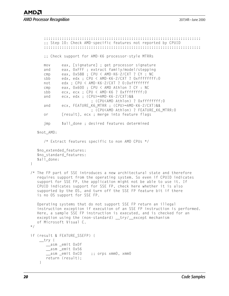```
 ;;;;;;;;;;;;;;;;;;;;;;;;;;;;;;;;;;;;;;;;;;;;;;;;;;;;;;;;;;;;;;;;;;;;;;
          ;; Step 10: Check AMD-specific features not reported by CPUID
          ;;;;;;;;;;;;;;;;;;;;;;;;;;;;;;;;;;;;;;;;;;;;;;;;;;;;;;;;;;;;;;;;;;;;;;
         ;; Check support for AMD-K6 processor-style MTRRs 
         mov eax, [signature] ; get processor signature
         and eax, 0xFFF ; extract family/model/stepping
         cmp eax, 0x588 ; CPU < AMD-K6-2/CXT ? CY : NC
         sbb edx, edx ; CPU < AMD-K6-2/CXT ? 0xffffffff:0
         not edx ; CPU < AMD-K6-2/CXT ? 0:0xffffffff
         cmp eax, 0x600 ; CPU < AMD Athlon ? CY : NC
         sbb ecx, ecx ; CPU < AMD-K6 ? 0xffffffff:0
         and ecx, edx ; (CPU>=AMD-K6-2/CXT)&& 
                              ; (CPU<AMD Athlon) ? 0xffffffff:0
         and ecx, FEATURE_K6_MTRR ; (CPU>=AMD-K6-2/CXT)&& 
                              ; (CPU<AMD Athlon) ? FEATURE_K6_MTRR:0
         or [result], ecx ; merge into feature flags
         jmp $all_done ; desired features determined
      $not_AMD:
         /* Extract features specific to non AMD CPUs */
      $no_extended_features:
     $no standard features:
      $all_done:
    /* The FP part of SSE introduces a new architectural state and therefore
      requires support from the operating system. So even if CPUID indicates
      support for SSE FP, the application might not be able to use it. If
      CPUID indicates support for SSE FP, check here whether it is also
      supported by the OS, and turn off the SSE FP feature bit if there 
      is no OS support for SSE FP.
      Operating systems that do not support SSE FP return an illegal
      instruction exception if execution of an SSE FP instruction is performed. 
      Here, a sample SSE FP instruction is executed, and is checked for an 
     exception using the (non-standard) __try/__except mechanism
      of Microsoft Visual C. 
   if (result & FEATURE_SSEFP) {
      _{\text{try}} __asm _emit 0x0f 
          __asm _emit 0x56 
          asm emit 0xC0 ;; orps xmm0, xmm0
          return (result); 
 }
```
}

\*/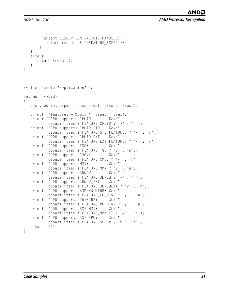}

{

```
 __except (EXCEPTION_EXECUTE_HANDLER) {
           return (result & (~FEATURE_SSEFP));
 }
    }
   else {
       return (result);
    }
/* The sample "application" */int main (void)
  unsigned int capabilities = get feature flags();
  printf ("features = %08x\n", capabilities);
   printf ("CPU supports CPUID: %c\n",
           capabilities & FEATURE CPUID ? 'y' : 'n'):
    printf ("CPU supports CPUID STD: %c\n", 
            capabilities & FEATURE_STD_FEATURES ? 'y' : 'n');
    printf ("CPU supports CPUID EXT: %c\n", 
           capabilities & FEATURE EXT FEATURES ? 'y' : 'n');
   printf ("CPU supports TSC: %c\n",
            capabilities & FEATURE_TSC ? 'y' : 'n');
   printf ("CPU supports CMOV: %c\n",
            capabilities & FEATURE_CMOV ? 'y' : 'n');
   printf ("CPU supports MMX: %c\n",
           capabilities & FEATURE MMX ? 'y' : 'n');
  printf ("CPU supports 3DNOW: %c\n",
           capabilities & FEATURE 3DNOW ? 'y' : 'n');
    printf ("CPU supports 3DNOW_EXT: %c\n", 
            capabilities & FEATURE_3DNOWEXT ? 'y' : 'n');
    printf ("CPU supports AMD-K6-MTRR: %c\n", 
           capabilities & FEATURE K6 MTRR ? 'y' : 'n'):
   printf ("CPU supports P6-MTRR: %c\n"
           capabilities & FEATURE P6 MTRR ? 'y' : 'n');
  printf ("CPU supports SSE MMX: %c\n",
           capabilities & FEATURE_MMXEXT ? 'y' : 'n');<br>"CPU supports SSE FPU: %c\n".
   print f ("CPU supports SSE FPU:
           capabilities & FEATURE SSEFP ? 'y' : 'n');
    return (0);
```
}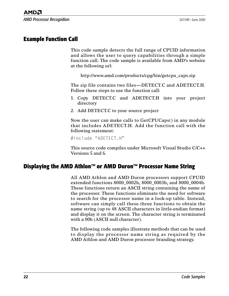*AMD Processor Recognition* 2000

### <span id="page-29-2"></span><span id="page-29-0"></span>**Example Function Call**

This code sample detects the full range of CPUID information and allows the user to query capabilities through a simple function call. The code sample is available from AMD's website at the following url:

http://www.amd.com/products/cpg/bin/getcpu\_caps.zip

The zip file contains two files—DETECT.C and ADETECT.H. Follow these steps to use the function call:

- 1. Copy DETECT.C and ADETECT.H into your project directory
- 2. Add DETECT.C to your source project

Now the user can make calls to GetCPUCaps() in any module that includes ADETECT.H. Add the function call with the following statement:

#include "ADETECT.H"

This source code compiles under Microsoft Visual Studio C/C++ Versions 5 and 6.

#### <span id="page-29-3"></span><span id="page-29-1"></span>**Displaying the AMD Athlon™ or AMD Duron™ Processor Name String**

All AMD Athlon and AMD Duron processors support CPUID extended functions 8000\_0002h, 8000\_0003h, and 8000\_0004h. These functions return an ASCII string containing the name of the processor. These functions eliminate the need for software to search for the processor name in a look-up table. Instead, software can simply call these three functions to obtain the name string (up to 48 ASCII characters in little-endian format) and display it on the screen. The character string is terminated with a 00h (ASCII null character).

The following code samples illustrate methods that can be used to display the processor name string as required by the AMD Athlon and AMD Duron processor branding strategy.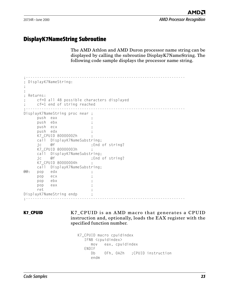### <span id="page-30-1"></span><span id="page-30-0"></span>**DisplayK7NameString Subroutine**

The AMD Athlon and AMD Duron processor name string can be displayed by calling the subroutine DisplayK7NameString. The following code sample displays the processor name string.

```
;-----------------------------------------------------------------------
; DisplayK7NameString:
;
;
; Returns:
     ; cf=0 all 48 possible characters displayed
     cf=1 end of string reached
          ;-----------------------------------------------------------------------
DisplayK7NameString proc near ;
     push eax
     push ebx
     push ecx
     push edx
     K7 CPUID 80000002h
     call DisplayK7NameSubstring;<br>jc @f :Fnd
           @f \qquad \qquad ; End of string?
     K7 CPUID 80000003h
     call DisplayK7NameSubstring;
      jc @f ;End of string?
     K7 CPUID 80000004h ;
     call DisplayK7NameSubstring;
@@: pop edx ;
     pop ecx ;
     pop ebx
     pop eax
     ret ;
DisplayK7NameString endp ;
;-----------------------------------------------------------------------
```
**K7 CPUID** K7 CPUID is an AMD macro that generates a CPUID instruction and, optionally, loads the EAX register with the specified function number.

```
K7_CPUID macro cpuidindex
   IFNB <cpuidindex>
     mov eax, cpuidindex
   ENDIF
     Db 0Fh, 0A2h ; CPUID instruction
     endm
```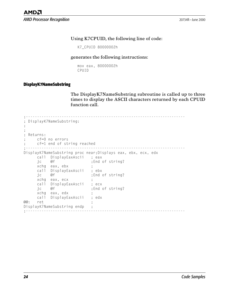#### Using K7CPUID, the following line of code:

K7\_CPUID 80000002h

#### generates the following instructions:

mov eax, 80000002h CPUID

#### **DisplayK7NameSubstring**

The DisplayK7NameSubstring subroutine is called up to three times to display the ASCII characters returned by each CPUID function call.

;----------------------------------------------------------------------- ; DisplayK7NameSubstring: ; ; ; Returns: ; cf=0 no errors cf=1 end of string reached ;----------------------------------------------------------------------- DisplayK7NameSubstring proc near;Displays eax, ebx, ecx, edx call DisplayEaxAscii ; eax ; End of string? xchg eax, ebx ; call DisplayEaxAscii ; ebx jc @f ;End of string? xchg eax, ecx ; call DisplayEaxAscii ; ecx jc @f ;End of string? xchq eax, edx call DisplayEaxAscii ; edx @@: ret DisplayK7NameSubstring endp ;<br>:------------------------------;-----------------------------------------------------------------------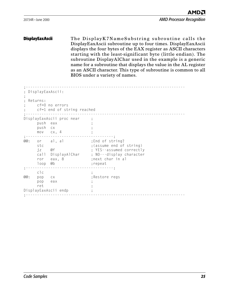**DisplayEaxAscii** The DisplayK7NameSubstring subroutine calls the DisplayEaxAscii subroutine up to four times. DisplayEaxAscii displays the four bytes of the EAX register as ASCII characters starting with the least-significant byte (little endian). The subroutine DisplayAlChar used in the example is a generic name for a subroutine that displays the value in the AL register as an ASCII character. This type of subroutine is common to all BIOS under a variety of names.

| cf=1 end of string reached |                                                                                                                                                                               |
|----------------------------|-------------------------------------------------------------------------------------------------------------------------------------------------------------------------------|
|                            |                                                                                                                                                                               |
| @b                         | ;End of string?<br>; (assume end of string)<br>; YES--assumed correctly<br>call DisplayAlChar ; NO---display character<br>;next char in al<br>; repeat                        |
|                            | ; Restore regs                                                                                                                                                                |
|                            | DisplayEaxAscii:<br>cf=0 no errors<br>DisplayEaxAscii proc near<br>push eax<br>push cx<br>$mov$ $cx, 4$<br>or al, al<br>@f<br>ror eax, 8<br>CX<br>eax<br>DisplayEaxAscii endp |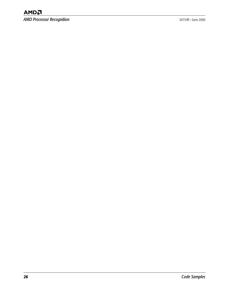### **AMDA**

*AMD Processor Recognition* 2000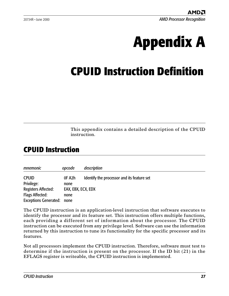# <span id="page-34-2"></span>**Appendix A**

# <span id="page-34-3"></span><span id="page-34-0"></span>**CPUID Instruction Definition**

This appendix contains a detailed description of the CPUID instruction.

### <span id="page-34-1"></span>**CPUID Instruction**

| mnemonic                     | opcode             | description                                |
|------------------------------|--------------------|--------------------------------------------|
| <b>CPUID</b>                 | OF A2h             | Identify the processor and its feature set |
| Privilege:                   | none               |                                            |
| <b>Registers Affected:</b>   | EAX, EBX, ECX, EDX |                                            |
| Flags Affected:              | none               |                                            |
| <b>Exceptions Generated:</b> | none               |                                            |

The CPUID instruction is an application-level instruction that software executes to identify the processor and its feature set. This instruction offers multiple functions, each providing a different set of information about the processor. The CPUID instruction can be executed from any privilege level. Software can use the information returned by this instruction to tune its functionality for the specific processor and its features.

Not all processors implement the CPUID instruction. Therefore, software must test to determine if the instruction is present on the processor. If the ID bit (21) in the EFLAGS register is writeable, the CPUID instruction is implemented.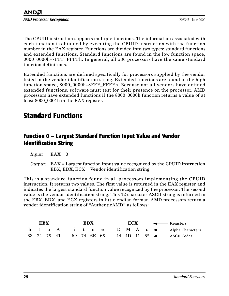The CPUID instruction supports multiple functions. The information associated with each function is obtained by executing the CPUID instruction with the function number in the EAX register. Functions are divided into two types: standard functions and extended functions. Standard functions are found in the low function space, 0000\_0000h–7FFF\_FFFFh. In general, all x86 processors have the same standard function definitions.

Extended functions are defined specifically for processors supplied by the vendor listed in the vendor identification string. Extended functions are found in the high function space, 8000\_0000h–8FFF\_FFFFh. Because not all vendors have defined extended functions, software must test for their presence on the processor. AMD processors have extended functions if the 8000\_0000h function returns a value of at least 8000\_0001h in the EAX register.

### <span id="page-35-0"></span>**Standard Functions**

### <span id="page-35-1"></span>**Function 0 — Largest Standard Function Input Value and Vendor Identification String**

*Output:* EAX = Largest function input value recognized by the CPUID instruction EBX, EDX, ECX = Vendor identification string

This is a standard function found in all processors implementing the CPUID instruction. It returns two values. The first value is returned in the EAX register and indicates the largest standard function value recognized by the processor. The second value is the vendor identification string. This 12-character ASCII string is returned in the EBX, EDX, and ECX registers in little endian format. AMD processors return a vendor identification string of "AuthenticAMD" as follows:

|  | EBX |  |  | <b>EDX</b> |  |  | ECX | Registers                                                    |
|--|-----|--|--|------------|--|--|-----|--------------------------------------------------------------|
|  |     |  |  |            |  |  |     | h t u A i t n e D M A c $\triangleleft$ Alpha Characters     |
|  |     |  |  |            |  |  |     | 68 74 75 41 69 74 6E 65 44 4D 41 63 $\leftarrow$ ASCII Codes |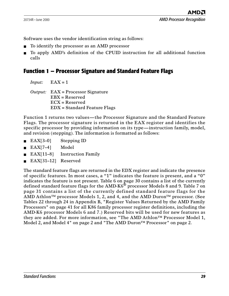Software uses the vendor identification string as follows:

- To identify the processor as an AMD processor
- To apply AMD's definition of the CPUID instruction for all additional function calls

### <span id="page-36-0"></span>**Function 1 — Processor Signature and Standard Feature Flags**

*Input:* EAX = 1

*Output:* EAX = Processor Signature EBX = Reserved ECX = Reserved EDX = Standard Feature Flags

Function 1 returns two values—the Processor Signature and the Standard Feature Flags. The processor signature is returned in the EAX register and identifies the specific processor by providing information on its type—instruction family, model, and revision (stepping). The information is formatted as follows:

- EAX[3–0] Stepping ID
- EAX[7–4] Model
- EAX[11–8] Instruction Family
- EAX[31-12] Reserved

The standard feature flags are returned in the EDX register and indicate the presence of specific features. In most cases, a "1" indicates the feature is present, and a "0" indicates the feature is not present. [Table 6 on page 30](#page-37-0) contains a list of the currently defined standard feature flags for the AMD- $K6^{\circ}$  processor Models 8 and 9. [Table 7 on](#page-38-0) [page 31](#page-38-0) contains a list of the currently defined standard feature flags for the AMD Athlon™ processor Models 1, 2, and 4, and the AMD Duron™ processor. (See Tables [22](#page-49-2) through [24](#page-55-2) in [Appendix B,](#page-48-1) ["Register Values Returned by the AMD Family](#page-48-2) [Processors" on page 41](#page-48-2) for all K86 family processor register definitions, including the AMD-K6 processor Models 6 and 7.) Reserved bits will be used for new features as they are added. For more information, see ["The AMD Athlon™ Processor Model 1,](#page-9-2) [Model 2, and Model 4" on page 2](#page-9-2) and ["The AMD Duron™ Processor" on page 2](#page-9-3).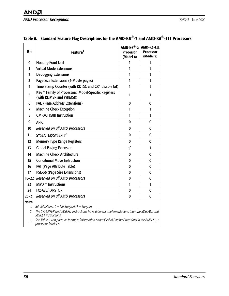| <b>Bit</b>     | Feature <sup>1</sup>                                                          | $AMD-K6^{\circledR} - 2$<br><b>Processor</b><br>(Model 8) | AMD-K6-III<br><b>Processor</b><br>(Model 9) |
|----------------|-------------------------------------------------------------------------------|-----------------------------------------------------------|---------------------------------------------|
| $\bf{0}$       | <b>Floating-Point Unit</b>                                                    |                                                           | 1                                           |
| 1              | <b>Virtual Mode Extensions</b>                                                | 1                                                         | 1                                           |
| $\overline{2}$ | <b>Debugging Extensions</b>                                                   | 1                                                         | 1                                           |
| 3              | Page Size Extensions (4-Mbyte pages)                                          | 1                                                         | 1                                           |
| 4              | Time Stamp Counter (with RDTSC and CR4 disable bit)                           | 1                                                         | 1                                           |
| 5              | K86™ Family of Processors' Model-Specific Registers<br>(with RDMSR and WRMSR) | 1                                                         | 1                                           |
| 6              | PAE (Page Address Extensions)                                                 | 0                                                         | 0                                           |
| $\overline{7}$ | <b>Machine Check Exception</b>                                                | 1                                                         | 1                                           |
| 8              | <b>CMPXCHG8B Instruction</b>                                                  | 1                                                         | 1                                           |
| 9              | <b>APIC</b>                                                                   | $\mathbf{0}$                                              | $\mathbf{0}$                                |
| 10             | Reserved on all AMD processors                                                | $\mathbf{0}$                                              | $\mathbf{0}$                                |
| 11             | SYSENTER/SYSEXIT <sup>2</sup>                                                 | $\mathbf{0}$                                              | $\mathbf{0}$                                |
| 12             | <b>Memory Type Range Registers</b>                                            | $\bf{0}$                                                  | $\bf{0}$                                    |
| 13             | <b>Global Paging Extension</b>                                                | 1 <sup>3</sup>                                            | 1                                           |
| 14             | <b>Machine Check Architecture</b>                                             | $\bf{0}$                                                  | 0                                           |
| 15             | <b>Conditional Move Instruction</b>                                           | $\mathbf{0}$                                              | $\mathbf{0}$                                |
| 16             | PAT (Page Attribute Table)                                                    | 0                                                         | 0                                           |
| 17             | PSE-36 (Page Size Extensions)                                                 | $\mathbf{0}$                                              | 0                                           |
| $18 - 22$      | <b>Reserved on all AMD processors</b>                                         | $\mathbf{0}$                                              | $\mathbf{0}$                                |
| 23             | <b>MMX<sup>™</sup> Instructions</b>                                           | 1                                                         | 1                                           |
| 24             | <b>FXSAVE/FXRSTOR</b>                                                         | 0                                                         | $\bf{0}$                                    |
| $25 - 31$      | <b>Reserved on all AMD processors</b>                                         | $\mathbf{0}$                                              | $\bf{0}$                                    |
| <b>Notes:</b>  |                                                                               |                                                           |                                             |

<span id="page-37-1"></span><span id="page-37-0"></span>

|  |  |  |  | Table 6. Standard Feature Flag Descriptions for the AMD-K6 <sup>®</sup> -2 and AMD-K6 <sup>®</sup> -III Processors |  |
|--|--|--|--|--------------------------------------------------------------------------------------------------------------------|--|
|--|--|--|--|--------------------------------------------------------------------------------------------------------------------|--|

*1. Bit definitions: 0 = No Support, 1 = Support.*

*2. The SYSENTER and SYSEXIT instructions have different implementations than the SYSCALL and SYSRET instructions.*

*3. See [Table 23 on page 45](#page-52-2) for more information about Global Paging Extensions in the AMD-K6-2 processor Model 8.*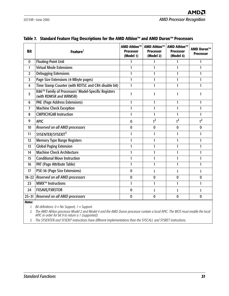| <b>Bit</b>              | Feature <sup>1</sup>                                                            | AMD Athlon™<br><b>Processor</b><br>(Model 1) | <b>AMD Athlon™</b><br><b>Processor</b><br>(Model 2) | <b>AMD Athlon™</b><br><b>Processor</b><br>(Model 4) | <b>AMD Duron™</b><br><b>Processor</b> |
|-------------------------|---------------------------------------------------------------------------------|----------------------------------------------|-----------------------------------------------------|-----------------------------------------------------|---------------------------------------|
| $\bf{0}$                | <b>Floating-Point Unit</b>                                                      | 1                                            | 1                                                   | 1                                                   | 1                                     |
| 1                       | <b>Virtual Mode Extensions</b>                                                  | 1                                            |                                                     |                                                     | 1                                     |
| $\mathbf{2}$            | <b>Debugging Extensions</b>                                                     | 1                                            | 1                                                   | 1                                                   | $\mathbf{1}$                          |
| $\overline{3}$          | Page Size Extensions (4-Mbyte pages)                                            | 1                                            | 1                                                   | 1                                                   | $\mathbf{1}$                          |
| $\overline{\mathbf{4}}$ | Time Stamp Counter (with RDTSC and CR4 disable bit)                             | 1                                            | 1                                                   |                                                     | 1                                     |
| 5                       | K86™ Family of Processors' Model-Specific Registers<br>(with RDMSR and WRMSR)   | 1                                            |                                                     |                                                     |                                       |
| 6                       | PAE (Page Address Extensions)                                                   | 1                                            | 1                                                   |                                                     | 1                                     |
| $\overline{7}$          | <b>Machine Check Exception</b>                                                  | 1                                            | 1                                                   | 1                                                   | $\mathbf{1}$                          |
| 8                       | <b>CMPXCHG8B Instruction</b>                                                    | 1                                            | 1                                                   | 1                                                   | $\mathbf{1}$                          |
| 9                       | <b>APIC</b>                                                                     | $\bf{0}$                                     | 1 <sup>2</sup>                                      | 1 <sup>2</sup>                                      | 1 <sup>2</sup>                        |
| 10                      | Reserved on all AMD processors                                                  | $\mathbf{0}$                                 | $\bf{0}$                                            | $\bf{0}$                                            | 0                                     |
| 11                      | SYSENTER/SYSEXIT3                                                               | 1                                            | 1                                                   | $\mathbf{1}$                                        | 1                                     |
| 12                      | <b>Memory Type Range Registers</b>                                              | 1                                            | 1                                                   | 1                                                   | 1                                     |
| 13                      | <b>Global Paging Extension</b>                                                  | 1                                            | 1                                                   | 1                                                   | $\mathbf{1}$                          |
| 14                      | <b>Machine Check Architecture</b>                                               | 1                                            | 1                                                   | 1                                                   | $\mathbf{1}$                          |
| 15                      | <b>Conditional Move Instruction</b>                                             | 1                                            | 1                                                   | 1                                                   | 1                                     |
| 16                      | PAT (Page Attribute Table)                                                      | 1                                            | 1                                                   | 1                                                   | $\mathbf{1}$                          |
| 17                      | PSE-36 (Page Size Extensions)                                                   | $\bf{0}$                                     | 1                                                   |                                                     | 1                                     |
| $18 - 22$               | Reserved on all AMD processors                                                  | $\bf{0}$                                     | $\bf{0}$                                            | $\bf{0}$                                            | 0                                     |
| 23                      | <b>MMX<sup>™</sup></b> Instructions                                             | 1                                            | 1                                                   | 1                                                   | 1                                     |
| 24                      | <b>FXSAVE/FXRSTOR</b>                                                           | $\bf{0}$                                     | 1                                                   |                                                     | 1                                     |
| $25 - 31$               | Reserved on all AMD processors                                                  | $\Omega$                                     | $\mathbf{0}$                                        | $\Omega$                                            | 0                                     |
| <b>Notes:</b>           | $\mathbb{R}^{n}$ and $\mathbb{R}^{n}$ and $\mathbb{R}^{n}$ and $\mathbb{R}^{n}$ |                                              |                                                     |                                                     |                                       |

<span id="page-38-1"></span><span id="page-38-0"></span>

|  | Table 7. Standard Feature Flag Descriptions for the AMD Athlon™ and AMD Duron™ Processors |  |  |  |  |
|--|-------------------------------------------------------------------------------------------|--|--|--|--|
|--|-------------------------------------------------------------------------------------------|--|--|--|--|

*1. Bit definitions: 0 = No Support, 1 = Support.*

*2. The AMD Athlon processor Model 2 and Model 4 and the AMD Duron processor contain a local APIC. The BIOS must enable the local APIC in order for bit 9 to return a 1 (supported).* 

*3. The SYSENTER and SYSEXIT instructions have different implementations than the SYSCALL and SYSRET instructions.*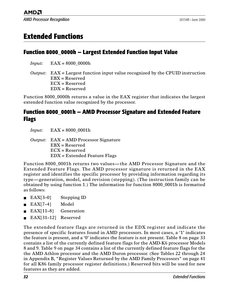### <span id="page-39-0"></span>**Extended Functions**

#### <span id="page-39-1"></span>**Function 8000\_0000h — Largest Extended Function Input Value**

*Input:* EAX = 8000\_0000h

```
Output: EAX = Largest function input value recognized by the CPUID instruction
        EBX = Reserved
        ECX = Reserved
        EDX = Reserved
```
Function 8000\_0000h returns a value in the EAX register that indicates the largest extended function value recognized by the processor.

### <span id="page-39-2"></span>**Function 8000\_0001h — AMD Processor Signature and Extended Feature Flags**

*Input:* EAX = 8000\_0001h

*Output:* EAX = AMD Processor Signature EBX = Reserved ECX = Reserved EDX = Extended Feature Flags

Function 8000\_0001h returns two values—the AMD Processor Signature and the Extended Feature Flags. The AMD processor signature is returned in the EAX register and identifies the specific processor by providing information regarding its type—generation, model, and revision (stepping). (The instruction family can be obtained by using function 1.) The information for function 8000\_0001h is formatted as follows:

- EAX[3–0] Stepping ID
- EAX[7–4] Model
- EAX[11-8] Generation
- EAX[31-12] Reserved

The extended feature flags are returned in the EDX register and indicate the presence of specific features found in AMD processors. In most cases, a '1' indicates the feature is present, and a '0' indicates the feature is not present. [Table 8 on page 33](#page-40-0) contains a list of the currently defined feature flags for the AMD-K6 processor Models 8 and 9. [Table 9 on page 34](#page-41-0) contains a list of the currently defined feature flags for the the AMD Athlon processor and the AMD Duron processor. (See Tables [22](#page-49-2) through [24](#page-55-2) in [Appendix B,](#page-48-1) ["Register Values Returned by the AMD Family Processors" on page 41](#page-48-2) for all K86 family processor register definitions.) Reserved bits will be used for new features as they are added.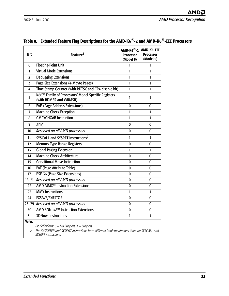| <b>Bit</b>     | Feature <sup>1</sup>                                                          | $AMD-K6^{\circledR}$ -2<br><b>Processor</b><br>(Model 8) | AMD-K6-III<br><b>Processor</b><br>(Model 9) |
|----------------|-------------------------------------------------------------------------------|----------------------------------------------------------|---------------------------------------------|
| $\bf{0}$       | <b>Floating-Point Unit</b>                                                    | 1                                                        | 1                                           |
| 1              | <b>Virtual Mode Extensions</b>                                                | 1                                                        | 1                                           |
| $\overline{2}$ | <b>Debugging Extensions</b>                                                   | 1                                                        | 1                                           |
| 3              | Page Size Extensions (4-Mbyte Pages)                                          | 1                                                        | 1                                           |
| $\overline{4}$ | Time Stamp Counter (with RDTSC and CR4 disable bit)                           | 1                                                        | 1                                           |
| 5              | K86™ Family of Processors' Model-Specific Registers<br>(with RDMSR and WRMSR) | 1                                                        | 1                                           |
| 6              | PAE (Page Address Extensions)                                                 | 0                                                        | 0                                           |
| $\overline{7}$ | <b>Machine Check Exception</b>                                                | 1                                                        | 1                                           |
| 8              | <b>CMPXCHG8B Instruction</b>                                                  | 1                                                        | 1                                           |
| 9              | <b>APIC</b>                                                                   | 0                                                        | $\bf{0}$                                    |
| 10             | Reserved on all AMD processors                                                | 0                                                        | 0                                           |
| 11             | SYSCALL and SYSRET Instructions <sup>2</sup>                                  | $\mathbf{1}$                                             | 1                                           |
| 12             | <b>Memory Type Range Registers</b>                                            | 0                                                        | $\bf{0}$                                    |
| 13             | <b>Global Paging Extension</b>                                                | 1                                                        | 1                                           |
| 14             | <b>Machine Check Architecture</b>                                             | $\bf{0}$                                                 | 0                                           |
| 15             | <b>Conditional Move Instruction</b>                                           | $\bf{0}$                                                 | 0                                           |
| 16             | PAT (Page Attribute Table)                                                    | 0                                                        | 0                                           |
| 17             | PSE-36 (Page Size Extensions)                                                 | 0                                                        | 0                                           |
| $18 - 21$      | Reserved on all AMD processors                                                | 0                                                        | 0                                           |
| 22             | AMD MMX <sup>™</sup> Instruction Extensions                                   | 0                                                        | 0                                           |
| 23             | <b>MMX</b> Instructions                                                       | 1                                                        | 1                                           |
| 24             | <b>FXSAVE/FXRSTOR</b>                                                         | 0                                                        | 0                                           |
|                | 25-29 Reserved on all AMD processors                                          | $\bf{0}$                                                 | 0                                           |
| 30             | AMD 3DNow!™ Instruction Extensions                                            | 0                                                        | 0                                           |
| 31             | <b>3DNow! Instructions</b>                                                    | $\mathbf{1}$                                             | 1                                           |
| Notes:<br>1.   | Bit definitions: $0 = No$ Support, $1 = Support$ .                            |                                                          |                                             |

### <span id="page-40-1"></span><span id="page-40-0"></span>**Table 8. Extended Feature Flag Descriptions for the AMD-K6®-2 and AMD-K6®-III Processors**

*2. The SYSENTER and SYSEXIT instructions have different implementations than the SYSCALL and SYSRET instructions.*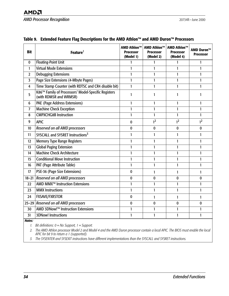| <b>Bit</b>     | Feature <sup>1</sup>                                                          | <b>AMD Athlon™</b><br><b>Processor</b><br>(Model 1) | <b>AMD Athlon™</b><br><b>Processor</b><br>(Model 2) | <b>AMD Athlon™</b><br><b>Processor</b><br>(Model 4) | <b>AMD Duron™</b><br><b>Processor</b> |
|----------------|-------------------------------------------------------------------------------|-----------------------------------------------------|-----------------------------------------------------|-----------------------------------------------------|---------------------------------------|
| $\bf{0}$       | <b>Floating-Point Unit</b>                                                    | 1                                                   | 1                                                   |                                                     | 1                                     |
| $\mathbf{1}$   | <b>Virtual Mode Extensions</b>                                                | 1                                                   | 1                                                   | 1                                                   | 1                                     |
| $\overline{2}$ | <b>Debugging Extensions</b>                                                   | 1                                                   | 1                                                   | 1                                                   | $\mathbf{1}$                          |
| $\overline{3}$ | Page Size Extensions (4-Mbyte Pages)                                          | 1                                                   | 1                                                   | 1                                                   | 1                                     |
| $\overline{4}$ | Time Stamp Counter (with RDTSC and CR4 disable bit)                           | 1                                                   | 1                                                   | 1                                                   | 1                                     |
| 5              | K86™ Family of Processors' Model-Specific Registers<br>(with RDMSR and WRMSR) | 1                                                   | 1                                                   | 1                                                   | 1                                     |
| $6\phantom{1}$ | PAE (Page Address Extensions)                                                 | 1                                                   | 1                                                   | 1                                                   | 1                                     |
| $\overline{7}$ | <b>Machine Check Exception</b>                                                | $\mathbf{1}$                                        | 1                                                   |                                                     | $\mathbf{1}$                          |
| 8              | <b>CMPXCHG8B Instruction</b>                                                  | 1                                                   | 1                                                   | 1                                                   | 1                                     |
| 9              | <b>APIC</b>                                                                   | $\bf{0}$                                            | 1 <sup>2</sup>                                      | 1 <sup>2</sup>                                      | 1 <sup>2</sup>                        |
| 10             | Reserved on all AMD processors                                                | 0                                                   | $\bf{0}$                                            | 0                                                   | $\bf{0}$                              |
| 11             | SYSCALL and SYSRET Instructions <sup>3</sup>                                  | 1                                                   | 1                                                   | 1                                                   | 1                                     |
| 12             | <b>Memory Type Range Registers</b>                                            | 1                                                   | $\mathbf{1}$                                        | 1                                                   | 1                                     |
| 13             | <b>Global Paging Extension</b>                                                | $\mathbf{1}$                                        | $\mathbf{1}$                                        | $\mathbf{1}$                                        | 1                                     |
| 14             | <b>Machine Check Architecture</b>                                             | 1                                                   | 1                                                   | 1                                                   | 1                                     |
| 15             | <b>Conditional Move Instruction</b>                                           | 1                                                   | 1                                                   | 1                                                   | 1                                     |
| 16             | PAT (Page Attribute Table)                                                    | $\mathbf{1}$                                        | 1                                                   |                                                     | 1                                     |
| 17             | PSE-36 (Page Size Extensions)                                                 | $\bf{0}$                                            | 1                                                   | 1                                                   | 1                                     |
| $18 - 21$      | <b>Reserved on all AMD processors</b>                                         | 0                                                   | 0                                                   | 0                                                   | 0                                     |
| 22             | <b>AMD MMX<sup>™</sup> Instruction Extensions</b>                             | 1                                                   | 1                                                   | 1                                                   | 1                                     |
| 23             | <b>MMX</b> Instructions                                                       | 1                                                   | 1                                                   | 1                                                   | 1                                     |
| 24             | <b>FXSAVE/FXRSTOR</b>                                                         | $\bf{0}$                                            | 1                                                   | 1                                                   | 1                                     |
|                | 25-29 Reserved on all AMD processors                                          | $\bf{0}$                                            | $\bf{0}$                                            | $\bf{0}$                                            | $\bf{0}$                              |
| 30             | AMD 3DNow!™ Instruction Extensions                                            | $\mathbf{1}$                                        | 1                                                   | 1                                                   | 1                                     |
| 31             | <b>3DNow! Instructions</b>                                                    | 1                                                   | 1                                                   |                                                     | 1                                     |
| <b>Notes:</b>  | -- - - -                                                                      |                                                     |                                                     |                                                     |                                       |

<span id="page-41-1"></span><span id="page-41-0"></span>

|  | Table 9. Extended Feature Flag Descriptions for the AMD Athlon™ and AMD Duron™ Processors |  |  |  |  |  |
|--|-------------------------------------------------------------------------------------------|--|--|--|--|--|
|--|-------------------------------------------------------------------------------------------|--|--|--|--|--|

*1. Bit definitions: 0 = No Support, 1 = Support.*

*2. The AMD Athlon processor Model 2 and Model 4 and the AMD Duron processor contain a local APIC. The BIOS must enable the local APIC for bit 9 to return a 1 (supported).* 

*3. The SYSENTER and SYSEXIT instructions have different implementations than the SYSCALL and SYSRET instructions.*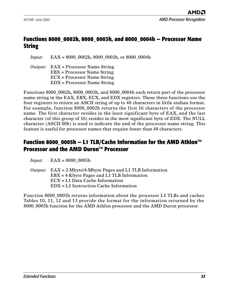### <span id="page-42-0"></span>**Functions 8000\_0002h, 8000\_0003h, and 8000\_0004h — Processor Name String**

*Input:* EAX = 8000\_0002h, 8000\_0003h, or 8000\_0004h

*Output:* EAX = Processor Name String EBX = Processor Name String ECX = Processor Name String EDX = Processor Name String

Functions 8000\_0002h, 8000\_0003h, and 8000\_0004h each return part of the processor name string in the EAX, EBX, ECX, and EDX registers. These three functions use the four registers to return an ASCII string of up to 48 characters in little endian format. For example, function 8000\_0002h returns the first 16 characters of the processor name. The first character resides in the least significant byte of EAX, and the last character (of this group of 16) resides in the most significant byte of EDX. The NULL character (ASCII 00h) is used to indicate the end of the processor name string. This feature is useful for processor names that require fewer than 48 characters.

### <span id="page-42-1"></span>**Function 8000\_0005h — L1 TLB/Cache Information for the AMD Athlon™ Processor and the AMD Duron™ Processor**

| <i>Input:</i> | $EAX = 8000_0005h$ |  |
|---------------|--------------------|--|
|               |                    |  |

*Output:* EAX = 2-Mbyte/4-Mbyte Pages and L1 TLB Information EBX = 4-Kbyte Pages and L1 TLB Information ECX = L1 Data Cache Information EDX = L1 Instruction Cache Information

Function 8000 0005h returns information about the processor L1 TLBs and caches. Tables [10](#page-43-0), [11,](#page-43-1) [12](#page-43-2) and [13](#page-43-3) provide the format for the information returned by the 8000\_0005h function for the AMD Athlon processor and the AMD Duron processor.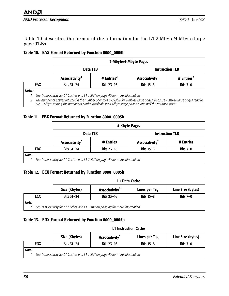[Table 10](#page-43-0) describes the format of the information for the L1 2-Mbyte/4-Mbyte large page TLBs.

<span id="page-43-4"></span>

|     |                            | 2-Mbyte/4-Mbyte Pages  |                            |                        |  |  |  |  |
|-----|----------------------------|------------------------|----------------------------|------------------------|--|--|--|--|
|     | Data TLB                   |                        | <b>Instruction TLB</b>     |                        |  |  |  |  |
|     | Associativity <sup>1</sup> | # Entries <sup>2</sup> | Associativity <sup>1</sup> | # Entries <sup>2</sup> |  |  |  |  |
| EAX | Bits 31-24                 | Bits 23-16             | <b>Bits 15-8</b>           | Bits $7-0$             |  |  |  |  |
| ac' |                            |                        |                            |                        |  |  |  |  |

<span id="page-43-0"></span>**Table 10. EAX Format Returned by Function 8000\_0005h**

*Notes:*

*1. See ["Associativity for L1 Caches and L1 TLBs" on page 40](#page-47-3) for more information.*

*2. The number of entries returned is the number of entries available for 2-Mbyte large pages. Because 4-Mbyte large pages require two 2-Mbyte entries, the number of entries available for 4-Mbyte large pages is one-half the returned value.*

<span id="page-43-1"></span>**Table 11. EBX Format Returned by Function 8000\_0005h**

|                                                                                              | 4-Kbyte Pages        |            |                        |            |  |  |  |
|----------------------------------------------------------------------------------------------|----------------------|------------|------------------------|------------|--|--|--|
|                                                                                              | Data TLB             |            | <b>Instruction TLB</b> |            |  |  |  |
|                                                                                              | <b>Associativity</b> | # Entries  | <b>Associativity</b>   | # Entries  |  |  |  |
| EBX                                                                                          | Bits 31-24           | Bits 23-16 | <b>Bits 15-8</b>       | Bits $7-0$ |  |  |  |
| Note:<br>See "Associativity for L1 Caches and L1 TLBs" on page 40 for more information.<br>* |                      |            |                        |            |  |  |  |

#### <span id="page-43-2"></span>**Table 12. ECX Format Returned by Function 8000\_0005h**

|                                                                                              | L1 Data Cache |                      |                  |                   |
|----------------------------------------------------------------------------------------------|---------------|----------------------|------------------|-------------------|
|                                                                                              | Size (Kbytes) | <b>Associativity</b> | Lines per Tag    | Line Size (bytes) |
| <b>ECX</b>                                                                                   | Bits $31-24$  | Bits 23-16           | <b>Bits 15-8</b> | Bits $7-0$        |
| Note:<br>See "Associativity for L1 Caches and L1 TLBs" on page 40 for more information.<br>* |               |                      |                  |                   |

#### <span id="page-43-3"></span>**Table 13. EDX Format Returned by Function 8000\_0005h**

|                                                                                                   | <b>L1 Instruction Cache</b> |                      |                      |                   |
|---------------------------------------------------------------------------------------------------|-----------------------------|----------------------|----------------------|-------------------|
|                                                                                                   | Size (Kbytes)               | <b>Associativity</b> | <b>Lines per Tag</b> | Line Size (bytes) |
| <b>EDX</b>                                                                                        | Bits $31-24$                | Bits 23-16           | <b>Bits 15-8</b>     | Bits $7-0$        |
| Note:<br>See "Associativity for L1 Caches and L1 TLBs" on page 40 for more information.<br>$\ast$ |                             |                      |                      |                   |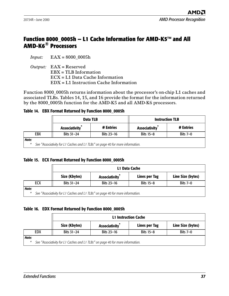### <span id="page-44-0"></span>**Function 8000\_0005h — L1 Cache Information for AMD-K5™ and All AMD-K6® Processors**

*Input:* EAX = 8000\_0005h

*Output:* EAX = Reserved EBX = TLB Information ECX = L1 Data Cache Information EDX = L1 Instruction Cache Information

Function 8000\_0005h returns information about the processor's on-chip L1 caches and associated TLBs. Tables [14](#page-44-1), [15,](#page-44-2) and [16](#page-44-3) provide the format for the information returned by the 8000\_0005h function for the AMD-K5 and all AMD-K6 processors.

#### <span id="page-44-1"></span>**Table 14. EBX Format Returned by Function 8000\_0005h**

|                                                                                                   | Data TLB             |            | <b>Instruction TLB</b> |            |
|---------------------------------------------------------------------------------------------------|----------------------|------------|------------------------|------------|
|                                                                                                   | <b>Associativity</b> | # Entries  | <b>Associativity</b>   | # Entries  |
| EBX                                                                                               | Bits 31-24           | Bits 23-16 | <b>Bits 15-8</b>       | Bits $7-0$ |
| Note:<br>See "Associativity for L1 Caches and L1 TLBs" on page 40 for more information.<br>$\ast$ |                      |            |                        |            |

#### <span id="page-44-2"></span>**Table 15. ECX Format Returned by Function 8000\_0005h**

|                                                                                                   | L1 Data Cache |                      |                      |                   |
|---------------------------------------------------------------------------------------------------|---------------|----------------------|----------------------|-------------------|
|                                                                                                   | Size (Kbytes) | <b>Associativity</b> | <b>Lines per Tag</b> | Line Size (bytes) |
| <b>ECX</b>                                                                                        | Bits $31-24$  | Bits 23-16           | <b>Bits 15-8</b>     | Bits $7-0$        |
| Note:<br>See "Associativity for L1 Caches and L1 TLBs" on page 40 for more information.<br>$\ast$ |               |                      |                      |                   |

#### <span id="page-44-3"></span>**Table 16. EDX Format Returned by Function 8000\_0005h**

|                                                                                              | <b>L1 Instruction Cache</b> |                      |                  |                   |
|----------------------------------------------------------------------------------------------|-----------------------------|----------------------|------------------|-------------------|
|                                                                                              | Size (Kbytes)               | <b>Associativity</b> | Lines per Tag    | Line Size (bytes) |
| EDX                                                                                          | Bits 31-24                  | Bits 23-16           | <b>Bits 15-8</b> | Bits $7-0$        |
| Note:<br>See "Associativity for L1 Caches and L1 TLBs" on page 40 for more information.<br>* |                             |                      |                  |                   |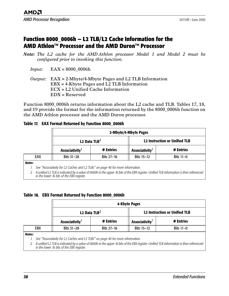### <span id="page-45-0"></span>**Function 8000\_0006h — L2 TLB/L2 Cache Information for the AMD Athlon™ Processor and the AMD Duron™ Processor**

*Note: The L2 cache for the AMD Athlon processor Model 1 and Model 2 must be configured prior to invoking this function.* 

*Input:* EAX = 8000\_0006h

#### *Output:* EAX = 2-Mbyte/4-Mbyte Pages and L2 TLB Information EBX = 4-Kbyte Pages and L2 TLB Information ECX = L2 Unified Cache Information EDX = Reserved

Function 8000\_0006h returns information about the L2 cache and TLB. Tables [17,](#page-45-1) [18,](#page-45-2) and [19](#page-46-1) provide the format for the information returned by the 8000\_0006h function on the AMD Athlon processor and the AMD Duron processor.

#### <span id="page-45-1"></span>**Table 17. EAX Format Returned by Function 8000\_0006h**

|     | 2-Mbyte/4-Mbyte Pages                |            |                            |                                      |
|-----|--------------------------------------|------------|----------------------------|--------------------------------------|
|     | L <sub>2</sub> Data TLB <sup>2</sup> |            |                            | <b>L2 Instruction or Unified TLB</b> |
|     | Associativity <sup>1</sup>           | # Entries  | Associativity <sup>1</sup> | # Entries                            |
| EAX | Bits 31-28                           | Bits 27-16 | Bits 15-12                 | Bits $11-0$                          |

*Notes:*

*1. See ["Associativity for L2 Caches and L2 TLBs" on page 40](#page-47-4) for more information.*

*2. A unified L2 TLB is indicated by a value of 0000h in the upper 16 bits of the EBX register. Unified TLB information is then referenced in the lower 16 bits of the EBX register.*

#### <span id="page-45-2"></span>**Table 18. EBX Format Returned by Function 8000\_0006h**

|     | 4-Kbyte Pages                        |            |                            |                                      |
|-----|--------------------------------------|------------|----------------------------|--------------------------------------|
|     | L <sub>2</sub> Data TLB <sup>2</sup> |            |                            | <b>L2 Instruction or Unified TLB</b> |
|     | Associativity <sup>1</sup>           | # Entries  | Associativity <sup>1</sup> | # Entries                            |
| EBX | Bits 31-28                           | Bits 27-16 | Bits 15-12                 | Bits $11-0$                          |

*Notes:*

*1. See ["Associativity for L2 Caches and L2 TLBs" on page 40](#page-47-4) for more information.*

*2. A unified L2 TLB is indicated by a value of 0000h in the upper 16 bits of the EBX register. Unified TLB information is then referenced in the lower 16 bits of the EBX register.*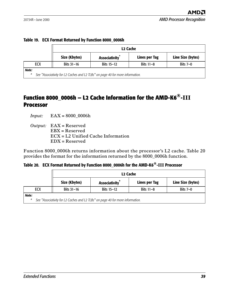|                                                                                                    | L <sub>2</sub> Cache |                      |               |                   |
|----------------------------------------------------------------------------------------------------|----------------------|----------------------|---------------|-------------------|
|                                                                                                    | Size (Kbytes)        | <b>Associativity</b> | Lines per Tag | Line Size (bytes) |
| <b>ECX</b>                                                                                         | Bits 31-16           | Bits 15-12           | Bits $11-8$   | Bits $7-0$        |
| Note:<br>See "Associativity for L2 Caches and L2 TLBs" on page 40 for more information.<br>$^\ast$ |                      |                      |               |                   |

#### <span id="page-46-1"></span>**Table 19. ECX Format Returned by Function 8000\_0006h**

### <span id="page-46-0"></span>**Function 8000\_0006h — L2 Cache Information for the AMD-K6®-III Processor**

*Input:* EAX = 8000\_0006h

*Output:* EAX = Reserved EBX = Reserved ECX = L2 Unified Cache Information EDX = Reserved

Function 8000\_0006h returns information about the processor's L2 cache. Table [20](#page-46-2) provides the format for the information returned by the 8000\_0006h function.

#### <span id="page-46-3"></span><span id="page-46-2"></span>**Table 20. ECX Format Returned by Function 8000\_0006h for the AMD-K6®-III Processor**

|            | L <sub>2</sub> Cache |                      |                      |                   |
|------------|----------------------|----------------------|----------------------|-------------------|
|            | Size (Kbytes)        | <b>Associativity</b> | <b>Lines per Tag</b> | Line Size (bytes) |
| <b>ECX</b> | Bits 31-16           | Bits 15-12           | Bits $11-8$          | Bits $7-0$        |
| Noto:      |                      |                      |                      |                   |

*Note:*

*\* See ["Associativity for L2 Caches and L2 TLBs" on page 40](#page-47-4) for more information.*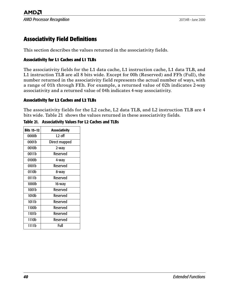### <span id="page-47-2"></span><span id="page-47-0"></span>**Associativity Field Definitions**

This section describes the values returned in the associativity fields.

#### <span id="page-47-3"></span>**Associativity for L1 Caches and L1 TLBs**

The associativity fields for the L1 data cache, L1 instruction cache, L1 data TLB, and L1 instruction TLB are all 8 bits wide. Except for 00h (Reserved) and FFh (Full), the number returned in the associativity field represents the actual number of ways, with a range of 01h through FEh. For example, a returned value of 02h indicates 2-way associativity and a returned value of 04h indicates 4-way associativity.

#### <span id="page-47-4"></span>**Associativity for L2 Caches and L2 TLBs**

The associativity fields for the L2 cache, L2 data TLB, and L2 instruction TLB are 4 bits wide. [Table 21](#page-47-1) shows the values returned in these associativity fields.

| <b>Bits 15-12</b> | <b>Associativity</b> |
|-------------------|----------------------|
| 0000b             | L <sub>2</sub> off   |
| 0001b             | Direct mapped        |
| 0010b             | 2-way                |
| 0011b             | Reserved             |
| 0100b             | 4-way                |
| 0101b             | <b>Reserved</b>      |
| 0110b             | 8-way                |
| 0111b             | Reserved             |
| 1000b             | 16-way               |
| 1001b             | <b>Reserved</b>      |
| 1010b             | Reserved             |
| 1011b             | Reserved             |
| 1100b             | Reserved             |
| 1101b             | Reserved             |
| 1110b             | Reserved             |
| 1111b             | Full                 |

<span id="page-47-1"></span>**Table 21. Associativity Values For L2 Caches and TLBs**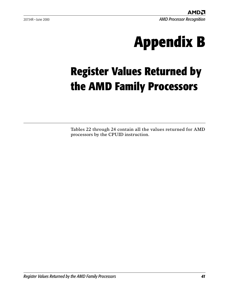# <span id="page-48-1"></span>**Appendix B**

# <span id="page-48-2"></span><span id="page-48-0"></span>**Register Values Returned by the AMD Family Processors**

Tables [22](#page-49-1) through [24](#page-55-1) contain all the values returned for AMD processors by the CPUID instruction.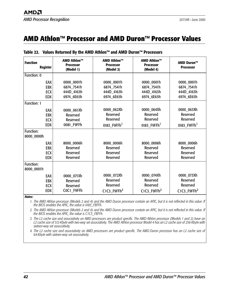### <span id="page-49-0"></span>**AMD Athlon™ Processor and AMD Duron™ Processor Values**

| <b>Function</b><br><b>Register</b>            | <b>AMD Athlon™</b><br><b>Processor</b><br>(Model 1)                 | <b>AMD Athlon™</b><br><b>Processor</b><br>(Model 2)                  | <b>AMD Athlon™</b><br><b>Processor</b><br>(Model 4)           | <b>AMD Duron™</b><br><b>Processor</b>                         |
|-----------------------------------------------|---------------------------------------------------------------------|----------------------------------------------------------------------|---------------------------------------------------------------|---------------------------------------------------------------|
| Function: 0                                   |                                                                     |                                                                      |                                                               |                                                               |
| EAX<br>EBX<br><b>ECX</b>                      | 0000_0001h<br>6874 7541h<br>444D_4163h                              | 0000_0001h<br>6874 7541h<br>444D_4163h                               | 0000_0001h<br>6874 7541h<br>444D_4163h                        | 0000_0001h<br>6874 7541h<br>444D_4163h                        |
| <b>EDX</b>                                    | 6974_6E65h                                                          | 6974_6E65h                                                           | 6974_6E65h                                                    | 6974_6E65h                                                    |
| Function: 1                                   |                                                                     |                                                                      |                                                               |                                                               |
| EAX<br><b>EBX</b><br><b>ECX</b><br><b>EDX</b> | 0000 061Xh<br><b>Reserved</b><br><b>Reserved</b><br>0081_F9FFh      | 0000_062Xh<br><b>Reserved</b><br>Reserved<br>0183_F9FFh <sup>1</sup> | 0000_064Xh<br>Reserved<br>Reserved<br>0183_F9FFh <sup>1</sup> | 0000 063Xh<br>Reserved<br>Reserved<br>0183 F9FFh <sup>1</sup> |
| Function:<br>8000 0000h                       |                                                                     |                                                                      |                                                               |                                                               |
| EAX<br>EBX<br><b>ECX</b><br><b>EDX</b>        | 8000 0006h<br><b>Reserved</b><br><b>Reserved</b><br><b>Reserved</b> | 8000 0006h<br><b>Reserved</b><br>Reserved<br><b>Reserved</b>         | 8000 0006h<br>Reserved<br>Reserved<br>Reserved                | 8000 0006h<br>Reserved<br>Reserved<br>Reserved                |
| Function:<br>8000 0001h                       |                                                                     |                                                                      |                                                               |                                                               |
| EAX<br><b>EBX</b><br><b>ECX</b><br><b>EDX</b> | 0000 071Xh<br>Reserved<br>Reserved<br>COC1_F9FFh                    | 0000_072Xh<br>Reserved<br>Reserved<br>C1C3 F9FFh <sup>2</sup>        | 0000_074Xh<br>Reserved<br>Reserved<br>C1C3 F9FFh <sup>2</sup> | 0000 073Xh<br>Reserved<br>Reserved<br>C1C3 F9FFh <sup>2</sup> |

<span id="page-49-2"></span><span id="page-49-1"></span>

| Table 22. Values Returned By the AMD Athlon™ and AMD Duron™ Processors |  |  |  |  |
|------------------------------------------------------------------------|--|--|--|--|
|------------------------------------------------------------------------|--|--|--|--|

*Notes:*

*1. The AMD Athlon processor (Models 2 and 4) and the AMD Duron processor contain an APIC, but it is not reflected in this value. If the BIOS enables the APIC, the value is 0183\_FBFFh.*

*2. The AMD Athlon processor (Models 2 and 4) and the AMD Duron processor contain an APIC, but it is not reflected in this value. If the BIOS enables the APIC, the value is C1C3\_FBFFh.*

*3. The L2 cache size and associativity on AMD processors are product specific. The AMD Athlon processor (Models 1 and 2) have an L2 cache size of 512-Kbyte with two-way set associativity. The AMD Athlon processor Model 4 has an L2 cache size of 256-Kbyte with sixteen-way set associativity.*

*4. The L2 cache size and associativity on AMD processors are product specific. The AMD Duron processor has an L2 cache size of 64-Kbyte with sixteen-way set associativity.*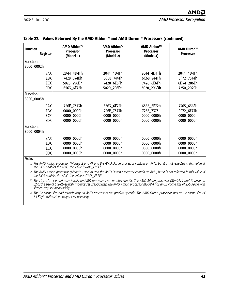| <b>Function</b><br><b>Register</b> | AMD Athlon™<br><b>Processor</b><br>(Model 1) | <b>AMD Athlon™</b><br><b>Processor</b><br>(Model 2) | AMD Athlon™<br><b>Processor</b><br>(Model 4) | AMD Duron™<br><b>Processor</b> |
|------------------------------------|----------------------------------------------|-----------------------------------------------------|----------------------------------------------|--------------------------------|
| Function:                          |                                              |                                                     |                                              |                                |
| 8000_0002h                         |                                              |                                                     |                                              |                                |
| EAX                                | 2D44 4D41h                                   | 2044 4D41h                                          | 2044 4D41h                                   | 2044 4D41h                     |
| EBX                                | 7428 374Bh                                   | 6C68 7441h                                          | 6C68 7441h                                   | 6F72 7544h                     |
| <b>ECX</b>                         | 5020_296Dh                                   | 7428_6E6Fh                                          | 7428_6E6Fh                                   | 6D74_286Eh                     |
| <b>EDX</b>                         | 6563_6F72h                                   | 5020_296Dh                                          | 5020_296Dh                                   | 7250_2029h                     |
| Function:                          |                                              |                                                     |                                              |                                |
| 8000_0003h                         |                                              |                                                     |                                              |                                |
| EAX                                | 726F_7373h                                   | 6563_6F72h                                          | 6563_6F72h                                   | 7365_636Fh                     |
| <b>EBX</b>                         | 0000 0000h                                   | 726F 7373h                                          | 726F 7373h                                   | 0072 6F73h                     |
| <b>ECX</b>                         | 0000_0000h                                   | 0000_0000h                                          | 0000_0000h                                   | 0000_0000h                     |
| <b>EDX</b>                         | 0000 0000h                                   | 0000_0000h                                          | 0000_0000h                                   | 0000 0000h                     |
| <b>Function:</b>                   |                                              |                                                     |                                              |                                |
| 8000 0004h                         |                                              |                                                     |                                              |                                |
| EAX                                | 0000_0000h                                   | 0000_0000h                                          | 0000_0000h                                   | 0000_0000h                     |
| EBX                                | 0000 0000h                                   | 0000_0000h                                          | 0000 0000h                                   | 0000 0000h                     |
| <b>ECX</b>                         | 0000_0000h                                   | 0000_0000h                                          | 0000_0000h                                   | 0000_0000h                     |
| <b>EDX</b>                         | 0000_0000h                                   | 0000_0000h                                          | 0000_0000h                                   | 0000 0000h                     |

#### **Table 22. Values Returned By the AMD Athlon™ and AMD Duron™ Processors (continued)**

*Notes:*

*1. The AMD Athlon processor (Models 2 and 4) and the AMD Duron processor contain an APIC, but it is not reflected in this value. If the BIOS enables the APIC, the value is 0183\_FBFFh.*

*2. The AMD Athlon processor (Models 2 and 4) and the AMD Duron processor contain an APIC, but it is not reflected in this value. If the BIOS enables the APIC, the value is C1C3\_FBFFh.*

*3. The L2 cache size and associativity on AMD processors are product specific. The AMD Athlon processor (Models 1 and 2) have an L2 cache size of 512-Kbyte with two-way set associativity. The AMD Athlon processor Model 4 has an L2 cache size of 256-Kbyte with sixteen-way set associativity.*

*4. The L2 cache size and associativity on AMD processors are product specific. The AMD Duron processor has an L2 cache size of 64-Kbyte with sixteen-way set associativity.*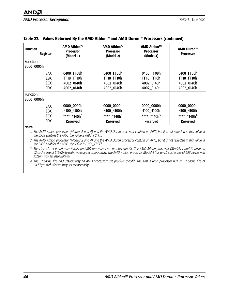| <b>Function</b><br><b>Register</b> | AMD Athlon™<br><b>Processor</b><br>(Model 1) | AMD Athlon™<br><b>Processor</b><br>(Model 2) | <b>AMD Athlon™</b><br><b>Processor</b><br>(Model 4) | <b>AMD Duron™</b><br><b>Processor</b> |
|------------------------------------|----------------------------------------------|----------------------------------------------|-----------------------------------------------------|---------------------------------------|
| Function:                          |                                              |                                              |                                                     |                                       |
| 8000 0005h                         |                                              |                                              |                                                     |                                       |
| EAX                                | 0408_FF08h                                   | 0408_FF08h                                   | 0408_FF08h                                          | 0408_FF08h                            |
| <b>EBX</b>                         | <b>FF18 FF10h</b>                            | <b>FF18 FF10h</b>                            | <b>FF18 FF10h</b>                                   | <b>FF18 FF10h</b>                     |
| <b>ECX</b>                         | 4002 0140h                                   | 4002 0140h                                   | 4002_0140h                                          | 4002 0140h                            |
| <b>EDX</b>                         | 4002 0140h                                   | 4002 0140h                                   | 4002 0140h                                          | 4002 0140h                            |
| Function:                          |                                              |                                              |                                                     |                                       |
| 8000 0006h                         |                                              |                                              |                                                     |                                       |
| EAX                                | 0000 0000h                                   | 0000 0000h                                   | 0000 0000h                                          | 0000 0000h                            |
| EBX                                | 4100_4100h                                   | 4100_4100h                                   | 4100_4100h                                          | 4100_4100h                            |
| <b>ECX</b>                         | **** *140 $h^3$                              | **** *140 $h^3$                              | **** *140 $h^3$                                     | **** *140h <sup>4</sup>               |
| <b>EDX</b>                         | Reserved                                     | Reserved                                     | Reserved                                            | Reserved                              |

#### **Table 22. Values Returned By the AMD Athlon™ and AMD Duron™ Processors (continued)**

*Notes:*

*1. The AMD Athlon processor (Models 2 and 4) and the AMD Duron processor contain an APIC, but it is not reflected in this value. If the BIOS enables the APIC, the value is 0183\_FBFFh.*

*2. The AMD Athlon processor (Models 2 and 4) and the AMD Duron processor contain an APIC, but it is not reflected in this value. If the BIOS enables the APIC, the value is C1C3\_FBFFh.*

*3. The L2 cache size and associativity on AMD processors are product specific. The AMD Athlon processor (Models 1 and 2) have an L2 cache size of 512-Kbyte with two-way set associativity. The AMD Athlon processor Model 4 has an L2 cache size of 256-Kbyte with sixteen-way set associativity.*

*4. The L2 cache size and associativity on AMD processors are product specific. The AMD Duron processor has an L2 cache size of 64-Kbyte with sixteen-way set associativity.*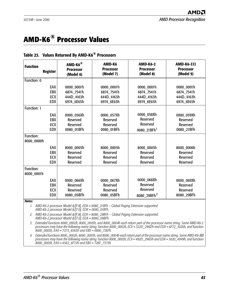## <span id="page-52-0"></span>**AMD-K6® Processor Values**

| <b>Function</b><br><b>Register</b>            | $AMD-K6^{\circledR}$<br><b>Processor</b><br>(Model 6) | AMD-K6<br><b>Processor</b><br>(Model 7)                 | <b>AMD-K6-2</b><br><b>Processor</b><br>(Model 8)              | AMD-K6-III<br><b>Processor</b><br>(Model 9)      |
|-----------------------------------------------|-------------------------------------------------------|---------------------------------------------------------|---------------------------------------------------------------|--------------------------------------------------|
| Function: 0                                   |                                                       |                                                         |                                                               |                                                  |
| EAX<br><b>EBX</b><br><b>ECX</b>               | 0000 0001h<br>6874 7541h<br>444D 4163h                | 0000 0001h<br>6874 7541h<br>444D 4163h                  | 0000 0001h<br>6874 7541h<br>444D_4163h                        | 0000 0001h<br>6874 7541h<br>444D_4163h           |
| <b>EDX</b>                                    | 6974_6E65h                                            | 6974_6E65h                                              | 6974_6E65h                                                    | 6974_6E65h                                       |
| Function: 1                                   |                                                       |                                                         |                                                               |                                                  |
| EAX<br><b>EBX</b><br><b>ECX</b><br><b>EDX</b> | 0000 056Xh<br>Reserved<br>Reserved<br>0080_01BFh      | 0000 057Xh<br><b>Reserved</b><br>Reserved<br>0080_01BFh | 0000 058Xh<br>Reserved<br>Reserved<br>$0080_21BFh1$           | 0000 059Xh<br>Reserved<br>Reserved<br>0080_21BFh |
| Function:<br>8000_0000h                       |                                                       |                                                         |                                                               |                                                  |
| EAX<br><b>EBX</b><br><b>ECX</b><br><b>EDX</b> | 8000 0005h<br><b>Reserved</b><br>Reserved<br>Reserved | 8000 0005h<br>Reserved<br>Reserved<br>Reserved          | 8000 0005h<br>Reserved<br>Reserved<br>Reserved                | 8000 0006h<br>Reserved<br>Reserved<br>Reserved   |
| <b>Function:</b><br>8000 0001h                |                                                       |                                                         |                                                               |                                                  |
| EAX<br><b>EBX</b><br><b>ECX</b><br><b>EDX</b> | 0000 066Xh<br>Reserved<br>Reserved<br>0080 05BFh      | 0000 067Xh<br>Reserved<br>Reserved<br>0080 05BFh        | 0000 068Xh<br>Reserved<br>Reserved<br>8080 29BFh <sup>2</sup> | 0000 069Xh<br>Reserved<br>Reserved<br>8080 29BFh |

#### <span id="page-52-2"></span><span id="page-52-1"></span>**Table 23. Values Returned By AMD-K6® Processors**

*Notes:*

*1. AMD-K6-2 processor Model 8/[F:8], EDX = 0080\_21BFh – Global Paging Extension supported. AMD-K6-2 processor Model 8/[7:0], EDX = 0080\_01BFh.*

*2. AMD-K6-2 processor Model 8/[F:8], EDX = 8080\_29BFh – Global Paging Extension supported. AMD-K6-2 processor Model 8/[7:0], EDX = 8080\_09BFh.*

*3. Extended functions 8000\_0002h, 8000\_0003h, and 8000\_0004h each return part of the processor name string. Some AMD-K6-2 processors may have the following name string: function 8000\_0002h, ECX = 322D\_296Dh and EDX = 6F72\_5020h, and function 8000\_0003h, EAX = 7373\_6563h and EBX = 0000\_726Fh.*

*4. Extended functions 8000\_0002h, 8000\_0003h, and 8000\_0004h each return part of the processor name string. Some AMD-K6-III processors may have the following name string: function 8000\_0002h, ECX = 492D\_296Dh and EDX = 5020\_4949h, and function 8000\_0003h, EAX = 6563\_6F72h and EBX = 726F\_7373h.*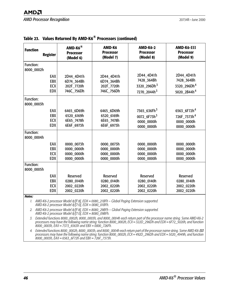| <b>Function</b><br><b>Register</b> | $AMD-K6^{\circledR}$<br><b>Processor</b><br>(Model 6) | AMD-K6<br><b>Processor</b><br>(Model 7) | <b>AMD-K6-2</b><br><b>Processor</b><br>(Model 8) | AMD-K6-III<br><b>Processor</b><br>(Model 9) |  |
|------------------------------------|-------------------------------------------------------|-----------------------------------------|--------------------------------------------------|---------------------------------------------|--|
| Function:                          |                                                       |                                         |                                                  |                                             |  |
| 8000 0002h                         |                                                       |                                         |                                                  |                                             |  |
| EAX                                | 2D44 4D41h                                            | 2D44 4D41h                              | 2D44_4D41h                                       | 2D44_4D41h                                  |  |
| <b>EBX</b>                         | 6D74 364Bh                                            | 6D74 364Bh                              | 7428_364Bh                                       | 7428_364Bh                                  |  |
| <b>ECX</b>                         | 202F_7720h                                            | 202F 7720h                              | 3320_296Dh <sup>3</sup>                          | 3320_296Dh <sup>4</sup>                     |  |
| <b>EDX</b>                         | 746C 756Dh                                            | 746C 756Dh                              | 7270_2044h <sup>3</sup>                          | 5020_2B44h <sup>4</sup>                     |  |
| Function:                          |                                                       |                                         |                                                  |                                             |  |
| 8000 0003h                         |                                                       |                                         |                                                  |                                             |  |
| EAX                                | 6465_6D69h                                            | 6465_6D69h                              | 7365_636Fh <sup>3</sup>                          | 6563_6F72h <sup>4</sup>                     |  |
| <b>EBX</b>                         | 6520 6169h                                            | 6520 6169h                              | 0072 6F73h <sup>3</sup>                          | 726F 7373h <sup>4</sup>                     |  |
| <b>ECX</b>                         | 6E65 7478h                                            | 6E65 7478h                              | 0000 0000h                                       | 0000 0000h                                  |  |
| <b>EDX</b>                         | 6E6F 6973h                                            | 6E6F 6973h                              | 0000 0000h                                       | 0000 0000h                                  |  |
| <b>Function:</b>                   |                                                       |                                         |                                                  |                                             |  |
| 8000 0004h                         |                                                       |                                         |                                                  |                                             |  |
| EAX                                | 0000 0073h                                            | 0000 0073h                              | 0000 0000h                                       | 0000 0000h                                  |  |
| <b>EBX</b>                         | 0000 0000h                                            | 0000 0000h                              | 0000 0000h                                       | 0000 0000h                                  |  |
| <b>ECX</b>                         | 0000 0000h                                            | 0000 0000h                              | 0000 0000h                                       | 0000 0000h                                  |  |
| <b>EDX</b>                         | 0000 0000h                                            | 0000 0000h                              | 0000 0000h                                       | 0000 0000h                                  |  |
| <b>Function:</b>                   |                                                       |                                         |                                                  |                                             |  |
| 8000 0005h                         |                                                       |                                         |                                                  |                                             |  |
| EAX                                | Reserved                                              | Reserved                                | Reserved                                         | <b>Reserved</b>                             |  |
| <b>EBX</b>                         | 0280 0140h                                            | 0280 0140h                              | 0280 0140h                                       | 0280 0140h                                  |  |
| <b>ECX</b>                         | 2002 0220h                                            | 2002 0220h                              | 2002 0220h                                       | 2002_0220h                                  |  |
| <b>EDX</b>                         | 2002 0220h                                            | 2002 0220h                              | 2002 0220h                                       | 2002 0220h                                  |  |

#### **Table 23. Values Returned By AMD-K6® Processors (continued)**

*Notes:*

*1. AMD-K6-2 processor Model 8/[F:8], EDX = 0080\_21BFh – Global Paging Extension supported. AMD-K6-2 processor Model 8/[7:0], EDX = 0080\_01BFh.*

*2. AMD-K6-2 processor Model 8/[F:8], EDX = 8080\_29BFh – Global Paging Extension supported. AMD-K6-2 processor Model 8/[7:0], EDX = 8080\_09BFh.*

*3. Extended functions 8000\_0002h, 8000\_0003h, and 8000\_0004h each return part of the processor name string. Some AMD-K6-2 processors may have the following name string: function 8000\_0002h, ECX = 322D\_296Dh and EDX = 6F72\_5020h, and function 8000\_0003h, EAX = 7373\_6563h and EBX = 0000\_726Fh.*

*4. Extended functions 8000\_0002h, 8000\_0003h, and 8000\_0004h each return part of the processor name string. Some AMD-K6-III processors may have the following name string: function 8000\_0002h, ECX = 492D\_296Dh and EDX = 5020\_4949h, and function 8000\_0003h, EAX = 6563\_6F72h and EBX = 726F\_7373h.*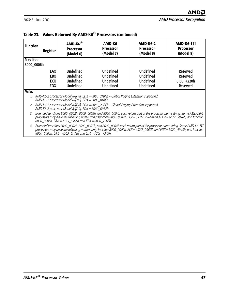| <b>Function</b><br><b>Register</b> | $AMD-K6^{\circledR}$<br><b>Processor</b><br>(Model 6) | AMD-K6<br><b>Processor</b><br>(Model 7) | <b>AMD-K6-2</b><br><b>Processor</b><br>(Model 8) | AMD-K6-III<br><b>Processor</b><br>(Model 9) |
|------------------------------------|-------------------------------------------------------|-----------------------------------------|--------------------------------------------------|---------------------------------------------|
| Function:                          |                                                       |                                         |                                                  |                                             |
| 8000 0006h                         |                                                       |                                         |                                                  |                                             |
| <b>EAX</b>                         | <b>Undefined</b>                                      | Undefined                               | <b>Undefined</b>                                 | Reserved                                    |
| EBX                                | <b>Undefined</b>                                      | <b>Undefined</b>                        | <b>Undefined</b>                                 | Reserved                                    |
| <b>ECX</b>                         | <b>Undefined</b>                                      | <b>Undefined</b>                        | <b>Undefined</b>                                 | 0100_4220h                                  |
| <b>EDX</b>                         | <b>Undefined</b>                                      | Undefined                               | <b>Undefined</b>                                 | Reserved                                    |
| Notes:                             |                                                       |                                         |                                                  |                                             |

#### **Table 23. Values Returned By AMD-K6® Processors (continued)**

*1. AMD-K6-2 processor Model 8/[F:8], EDX = 0080\_21BFh – Global Paging Extension supported. AMD-K6-2 processor Model 8/[7:0], EDX = 0080\_01BFh.*

*2. AMD-K6-2 processor Model 8/[F:8], EDX = 8080\_29BFh – Global Paging Extension supported. AMD-K6-2 processor Model 8/[7:0], EDX = 8080\_09BFh.*

*3. Extended functions 8000\_0002h, 8000\_0003h, and 8000\_0004h each return part of the processor name string. Some AMD-K6-2 processors may have the following name string: function 8000\_0002h, ECX = 322D\_296Dh and EDX = 6F72\_5020h, and function 8000\_0003h, EAX = 7373\_6563h and EBX = 0000\_726Fh.*

*4. Extended functions 8000\_0002h, 8000\_0003h, and 8000\_0004h each return part of the processor name string. Some AMD-K6-III processors may have the following name string: function 8000\_0002h, ECX = 492D\_296Dh and EDX = 5020\_4949h, and function 8000\_0003h, EAX = 6563\_6F72h and EBX = 726F\_7373h.*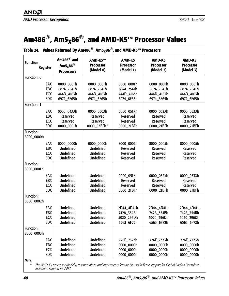## <span id="page-55-0"></span>Am486<sup>®</sup>, Am5<sub>X</sub>86<sup>®</sup>, and AMD-K5™ Processor Values

<span id="page-55-2"></span><span id="page-55-1"></span>

| Table 24. Values Returned By Am486 <sup>®</sup> , Am5 <sub>X</sub> 86 <sup>®</sup> , and AMD-K5™ Processors |  |
|-------------------------------------------------------------------------------------------------------------|--|
|-------------------------------------------------------------------------------------------------------------|--|

| <b>Function</b><br><b>Register</b>            | Am486 $^{\circledR}$ and<br>$Am5x86^{\circledR}$<br><b>Processors</b>        | AMD-K5™<br><b>Processor</b><br>(Model 0)                                     | AMD-K5<br><b>Processor</b><br>(Model 1)                      | AMD-K5<br><b>Processor</b><br>(Model 2)                      | AMD-K5<br><b>Processor</b><br>(Model 3)              |
|-----------------------------------------------|------------------------------------------------------------------------------|------------------------------------------------------------------------------|--------------------------------------------------------------|--------------------------------------------------------------|------------------------------------------------------|
| Function: 0                                   |                                                                              |                                                                              |                                                              |                                                              |                                                      |
| EAX<br><b>EBX</b><br><b>ECX</b><br><b>EDX</b> | 0000_0001h<br>6874 7541h<br>444D 4163h<br>6974_6E65h                         | 0000_0001h<br>6874 7541h<br>444D 4163h<br>6974_6E65h                         | 0000_0001h<br>6874 7541h<br>444D_4163h<br>6974_6E65h         | 0000_0001h<br>6874 7541h<br>444D 4163h<br>6974_6E65h         | 0000_0001h<br>6874 7541h<br>444D 4163h<br>6974_6E65h |
| <b>Function: 1</b>                            |                                                                              |                                                                              |                                                              |                                                              |                                                      |
| EAX<br><b>EBX</b><br><b>ECX</b><br><b>EDX</b> | 0000_04XXh<br>Reserved<br>Reserved<br>0000_0001h                             | 0000_050Xh<br>Reserved<br>Reserved<br>0000_03BFh*                            | 0000_051Xh<br>Reserved<br><b>Reserved</b><br>0000_21BFh      | 0000_052Xh<br>Reserved<br>Reserved<br>0000_21BFh             | 0000_053Xh<br>Reserved<br>Reserved<br>0000_21BFh     |
| <b>Function:</b><br>8000_0000h                |                                                                              |                                                                              |                                                              |                                                              |                                                      |
| EAX<br><b>EBX</b><br><b>ECX</b><br><b>EDX</b> | 0000_0000h<br><b>Undefined</b><br><b>Undefined</b><br><b>Undefined</b>       | 0000_0000h<br><b>Undefined</b><br><b>Undefined</b><br><b>Undefined</b>       | 8000_0005h<br>Reserved<br><b>Reserved</b><br><b>Reserved</b> | 8000_0005h<br><b>Reserved</b><br><b>Reserved</b><br>Reserved | 8000_0005h<br>Reserved<br>Reserved<br>Reserved       |
| Function:<br>8000_0001h                       |                                                                              |                                                                              |                                                              |                                                              |                                                      |
| EAX<br><b>EBX</b><br><b>ECX</b><br><b>EDX</b> | <b>Undefined</b><br><b>Undefined</b><br><b>Undefined</b><br><b>Undefined</b> | <b>Undefined</b><br><b>Undefined</b><br><b>Undefined</b><br><b>Undefined</b> | 0000_051Xh<br><b>Reserved</b><br>Reserved<br>0000_21BFh      | 0000_052Xh<br>Reserved<br>Reserved<br>0000 21BFh             | 0000_053Xh<br>Reserved<br>Reserved<br>0000_21BFh     |
| <b>Function:</b><br>8000_0002h                |                                                                              |                                                                              |                                                              |                                                              |                                                      |
| EAX<br><b>EBX</b><br><b>ECX</b><br><b>EDX</b> | <b>Undefined</b><br><b>Undefined</b><br><b>Undefined</b><br><b>Undefined</b> | <b>Undefined</b><br><b>Undefined</b><br><b>Undefined</b><br><b>Undefined</b> | 2D44_4D41h<br>7428 354Bh<br>5020 296Dh<br>6563_6F72h         | 2D44 4D41h<br>7428 354Bh<br>5020 296Dh<br>6563_6F72h         | 2D44_4D41h<br>7428 354Bh<br>5020 296Dh<br>6563_6F72h |
| Function:<br>8000_0003h                       |                                                                              |                                                                              |                                                              |                                                              |                                                      |
| EAX<br>EBX<br>ECX<br><b>EDX</b>               | <b>Undefined</b><br><b>Undefined</b><br><b>Undefined</b><br><b>Undefined</b> | <b>Undefined</b><br><b>Undefined</b><br><b>Undefined</b><br><b>Undefined</b> | 726F_7373h<br>0000_0000h<br>0000 0000h<br>0000_0000h         | 726F_7373h<br>0000_0000h<br>0000_0000h<br>0000_0000h         | 726F 7373h<br>0000 0000h<br>0000_0000h<br>0000_0000h |

*Note:*

*\* The AMD-K5 processor Model 0 reserves bit 13 and implements feature bit 9 to indicate support for Global Paging Extensions instead of support for APIC.*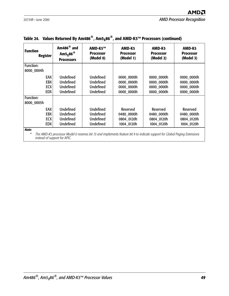| <b>Function</b><br><b>Register</b>            | Am486 $^{\circledR}$ and<br>Am5 $x^{86}$<br><b>Processors</b>                | $AMD-K5^{m}$<br><b>Processor</b><br>(Model 0)                                | AMD-K5<br><b>Processor</b><br>(Model 1)              | AMD-K5<br><b>Processor</b><br>(Model 2)              | AMD-K5<br><b>Processor</b><br>(Model 3)              |
|-----------------------------------------------|------------------------------------------------------------------------------|------------------------------------------------------------------------------|------------------------------------------------------|------------------------------------------------------|------------------------------------------------------|
| <b>Function:</b><br>8000 0004h                |                                                                              |                                                                              |                                                      |                                                      |                                                      |
| EAX<br><b>EBX</b><br><b>ECX</b><br><b>EDX</b> | <b>Undefined</b><br><b>Undefined</b><br><b>Undefined</b><br><b>Undefined</b> | Undefined<br><b>Undefined</b><br><b>Undefined</b><br><b>Undefined</b>        | 0000 0000h<br>0000 0000h<br>0000 0000h<br>0000 0000h | 0000 0000h<br>0000 0000h<br>0000 0000h<br>0000 0000h | 0000_0000h<br>0000 0000h<br>0000 0000h<br>0000 0000h |
| <b>Function:</b><br>8000 0005h                |                                                                              |                                                                              |                                                      |                                                      |                                                      |
| EAX<br><b>EBX</b><br><b>ECX</b><br><b>EDX</b> | <b>Undefined</b><br><b>Undefined</b><br><b>Undefined</b><br><b>Undefined</b> | <b>Undefined</b><br><b>Undefined</b><br><b>Undefined</b><br><b>Undefined</b> | Reserved<br>0480 0000h<br>0804 0120h<br>1004 0120h   | Reserved<br>0480 0000h<br>0804_0120h<br>1004 0120h   | Reserved<br>0480 0000h<br>0804 0120h<br>1004 0120h   |
| Note:                                         |                                                                              |                                                                              |                                                      |                                                      |                                                      |

### Table 24. Values Returned By Am486<sup>®</sup>, Am5<sub>X</sub>86<sup>®</sup>, and AMD-K5™ Processors (continued)

*\* The AMD-K5 processor Model 0 reserves bit 13 and implements feature bit 9 to indicate support for Global Paging Extensions instead of support for APIC.*